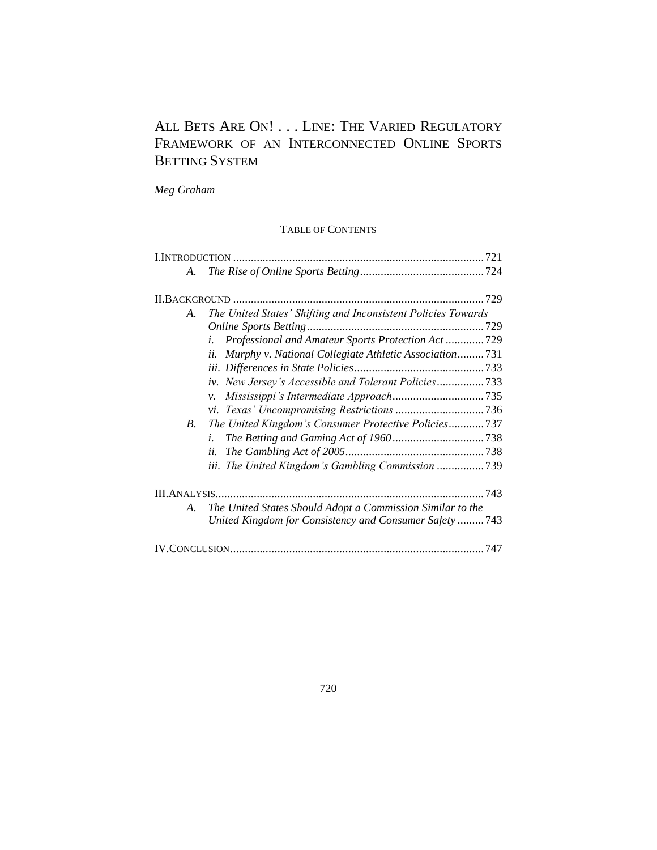# ALL BETS ARE ON! . . . LINE: THE VARIED REGULATORY FRAMEWORK OF AN INTERCONNECTED ONLINE SPORTS BETTING SYSTEM

*Meg Graham*

# TABLE OF CONTENTS

| A.         |                                                               |
|------------|---------------------------------------------------------------|
|            |                                                               |
| A.         | The United States' Shifting and Inconsistent Policies Towards |
|            |                                                               |
|            | Professional and Amateur Sports Protection Act 729<br>i.      |
|            | Murphy v. National Collegiate Athletic Association731<br>ii.  |
|            |                                                               |
|            | iv. New Jersey's Accessible and Tolerant Policies733          |
|            | ν.                                                            |
|            |                                                               |
| <i>B</i> . | The United Kingdom's Consumer Protective Policies737          |
|            | i.                                                            |
|            | ii.                                                           |
|            | iii. The United Kingdom's Gambling Commission 739             |
|            |                                                               |
| A.         | The United States Should Adopt a Commission Similar to the    |
|            | United Kingdom for Consistency and Consumer Safety 743        |
|            |                                                               |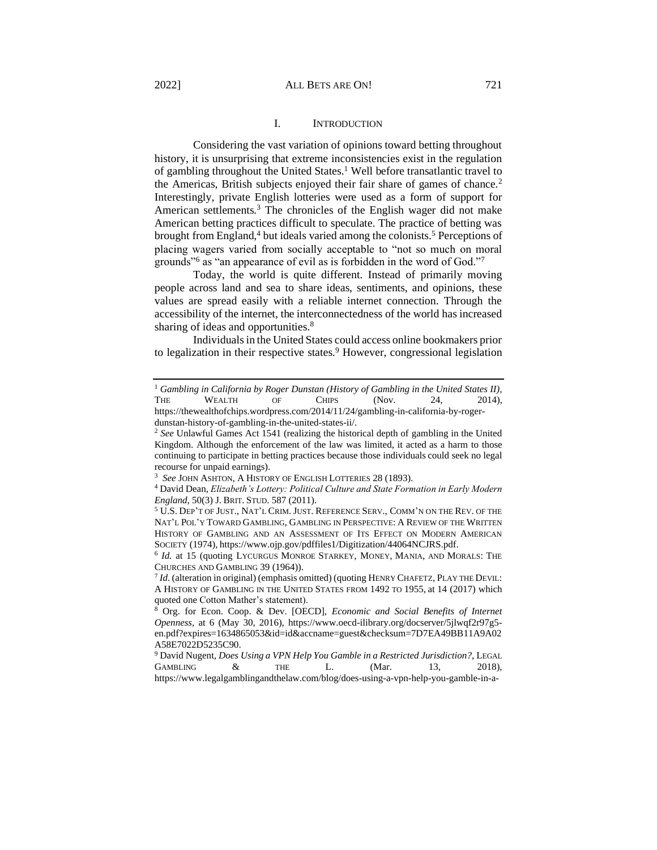## I. INTRODUCTION

<span id="page-1-0"></span>Considering the vast variation of opinions toward betting throughout history, it is unsurprising that extreme inconsistencies exist in the regulation of gambling throughout the United States.<sup>1</sup> Well before transatlantic travel to the Americas, British subjects enjoyed their fair share of games of chance.<sup>2</sup> Interestingly, private English lotteries were used as a form of support for American settlements.<sup>3</sup> The chronicles of the English wager did not make American betting practices difficult to speculate. The practice of betting was brought from England,<sup>4</sup> but ideals varied among the colonists.<sup>5</sup> Perceptions of placing wagers varied from socially acceptable to "not so much on moral grounds<sup>16</sup> as "an appearance of evil as is forbidden in the word of God."<sup>7</sup>

Today, the world is quite different. Instead of primarily moving people across land and sea to share ideas, sentiments, and opinions, these values are spread easily with a reliable internet connection. Through the accessibility of the internet, the interconnectedness of the world has increased sharing of ideas and opportunities.<sup>8</sup>

Individuals in the United States could access online bookmakers prior to legalization in their respective states.<sup>9</sup> However, congressional legislation

<sup>&</sup>lt;sup>1</sup> Gambling in California by Roger Dunstan (History of Gambling in the United States II), THE WEALTH OF CHIPS (Nov. 24, 2014),

https://thewealthofchips.wordpress.com/2014/11/24/gambling-in-california-by-rogerdunstan-history-of-gambling-in-the-united-states-ii/.

<sup>2</sup> *See* Unlawful Games Act 1541 (realizing the historical depth of gambling in the United Kingdom. Although the enforcement of the law was limited, it acted as a harm to those continuing to participate in betting practices because those individuals could seek no legal recourse for unpaid earnings).

<sup>3</sup> *See* JOHN ASHTON, A HISTORY OF ENGLISH LOTTERIES 28 (1893).

<sup>4</sup> David Dean, *Elizabeth's Lottery: Political Culture and State Formation in Early Modern England*, 50(3) J. BRIT. STUD. 587 (2011).

<sup>5</sup> U.S. DEP'T OF JUST., NAT'L CRIM.JUST. REFERENCE SERV., COMM'N ON THE REV. OF THE NAT'L POL'Y TOWARD GAMBLING, GAMBLING IN PERSPECTIVE: A REVIEW OF THE WRITTEN HISTORY OF GAMBLING AND AN ASSESSMENT OF ITS EFFECT ON MODERN AMERICAN SOCIETY (1974), https://www.ojp.gov/pdffiles1/Digitization/44064NCJRS.pdf.

<sup>&</sup>lt;sup>6</sup> *Id.* at 15 (quoting LYCURGUS MONROE STARKEY, MONEY, MANIA, AND MORALS: THE CHURCHES AND GAMBLING 39 (1964)).

<sup>7</sup> *Id*. (alteration in original) (emphasis omitted) (quoting HENRY CHAFETZ, PLAY THE DEVIL: A HISTORY OF GAMBLING IN THE UNITED STATES FROM 1492 TO 1955, at 14 (2017) which quoted one Cotton Mather's statement).

<sup>8</sup> Org. for Econ. Coop. & Dev. [OECD], *Economic and Social Benefits of Internet Openness*, at 6 (May 30, 2016), https://www.oecd-ilibrary.org/docserver/5jlwqf2r97g5 en.pdf?expires=1634865053&id=id&accname=guest&checksum=7D7EA49BB11A9A02 A58E7022D5235C90.

<sup>9</sup> David Nugent, *Does Using a VPN Help You Gamble in a Restricted Jurisdiction?*, LEGAL GAMBLING  $\&$  THE L. (Mar. 13, 2018), https://www.legalgamblingandthelaw.com/blog/does-using-a-vpn-help-you-gamble-in-a-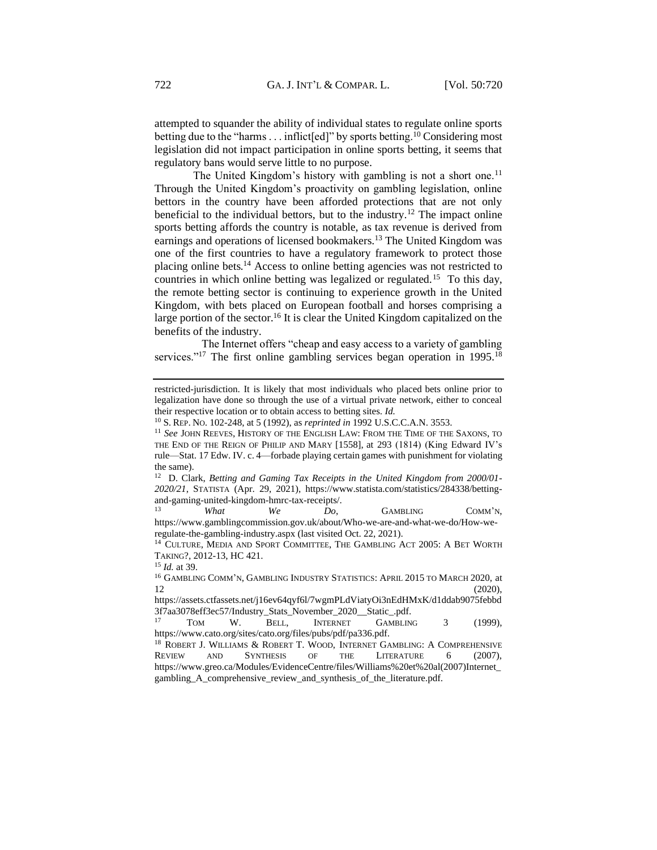attempted to squander the ability of individual states to regulate online sports betting due to the "harms  $\dots$  inflict[ed]" by sports betting.<sup>10</sup> Considering most legislation did not impact participation in online sports betting, it seems that regulatory bans would serve little to no purpose.

The United Kingdom's history with gambling is not a short one.<sup>11</sup> Through the United Kingdom's proactivity on gambling legislation, online bettors in the country have been afforded protections that are not only beneficial to the individual bettors, but to the industry.<sup>12</sup> The impact online sports betting affords the country is notable, as tax revenue is derived from earnings and operations of licensed bookmakers.<sup>13</sup> The United Kingdom was one of the first countries to have a regulatory framework to protect those placing online bets.<sup>14</sup> Access to online betting agencies was not restricted to countries in which online betting was legalized or regulated.<sup>15</sup> To this day, the remote betting sector is continuing to experience growth in the United Kingdom, with bets placed on European football and horses comprising a large portion of the sector.<sup>16</sup> It is clear the United Kingdom capitalized on the benefits of the industry.

 The Internet offers "cheap and easy access to a variety of gambling services."<sup>17</sup> The first online gambling services began operation in 1995.<sup>18</sup>

<sup>13</sup> *What We Do*, GAMBLING COMM'N, https://www.gamblingcommission.gov.uk/about/Who-we-are-and-what-we-do/How-weregulate-the-gambling-industry.aspx (last visited Oct. 22, 2021).

<sup>14</sup> CULTURE, MEDIA AND SPORT COMMITTEE, THE GAMBLING ACT 2005: A BET WORTH TAKING?, 2012-13, HC 421.

restricted-jurisdiction. It is likely that most individuals who placed bets online prior to legalization have done so through the use of a virtual private network, either to conceal their respective location or to obtain access to betting sites. *Id.*

<sup>10</sup> S. REP. NO. 102-248, at 5 (1992), as *reprinted in* 1992 U.S.C.C.A.N. 3553.

<sup>&</sup>lt;sup>11</sup> See JOHN REEVES, HISTORY OF THE ENGLISH LAW: FROM THE TIME OF THE SAXONS, TO THE END OF THE REIGN OF PHILIP AND MARY [1558], at 293 (1814) (King Edward IV's rule—Stat. 17 Edw. IV. c. 4—forbade playing certain games with punishment for violating the same).

<sup>12</sup> D. Clark, *Betting and Gaming Tax Receipts in the United Kingdom from 2000/01- 2020/21*, STATISTA (Apr. 29, 2021), https://www.statista.com/statistics/284338/bettingand-gaming-united-kingdom-hmrc-tax-receipts/.

<sup>15</sup> *Id.* at 39.

<sup>16</sup> GAMBLING COMM'N, GAMBLING INDUSTRY STATISTICS: APRIL 2015 TO MARCH 2020, at  $12$  (2020),

https://assets.ctfassets.net/j16ev64qyf6l/7wgmPLdViatyOi3nEdHMxK/d1ddab9075febbd 3f7aa3078eff3ec57/Industry\_Stats\_November\_2020\_\_Static\_.pdf.

TOM W. BELL, INTERNET GAMBLING 3 (1999), https://www.cato.org/sites/cato.org/files/pubs/pdf/pa336.pdf.

<sup>&</sup>lt;sup>18</sup> ROBERT J. WILLIAMS & ROBERT T. WOOD, INTERNET GAMBLING: A COMPREHENSIVE REVIEW AND SYNTHESIS OF THE LITERATURE 6 (2007), https://www.greo.ca/Modules/EvidenceCentre/files/Williams%20et%20al(2007)Internet\_ gambling\_A\_comprehensive\_review\_and\_synthesis\_of\_the\_literature.pdf.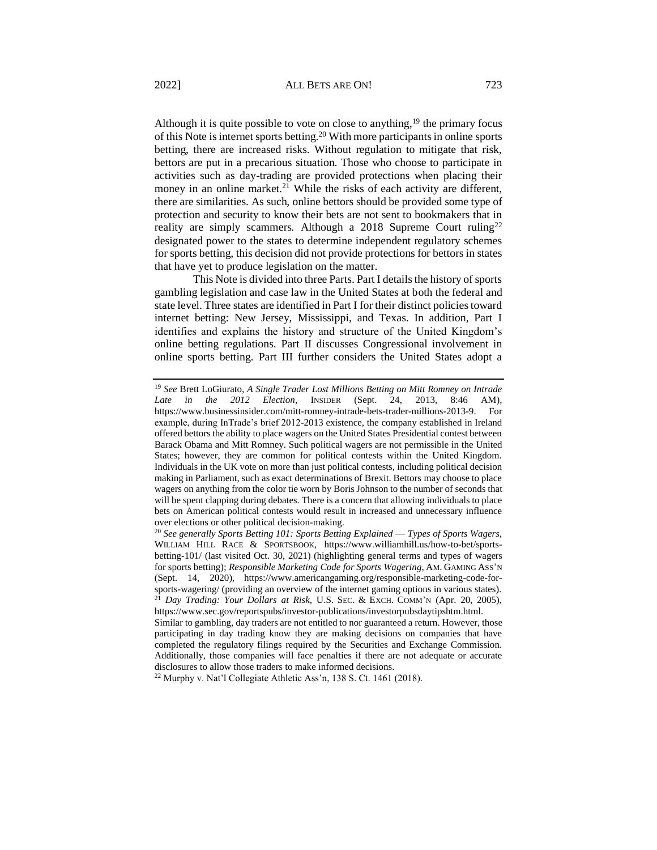Although it is quite possible to vote on close to anything,  $19$  the primary focus of this Note is internet sports betting.<sup>20</sup> With more participants in online sports betting, there are increased risks. Without regulation to mitigate that risk, bettors are put in a precarious situation. Those who choose to participate in activities such as day-trading are provided protections when placing their money in an online market.<sup>21</sup> While the risks of each activity are different, there are similarities. As such, online bettors should be provided some type of protection and security to know their bets are not sent to bookmakers that in reality are simply scammers. Although a  $2018$  Supreme Court ruling<sup>22</sup> designated power to the states to determine independent regulatory schemes for sports betting, this decision did not provide protections for bettors in states that have yet to produce legislation on the matter.

This Note is divided into three Parts. Part I details the history of sports gambling legislation and case law in the United States at both the federal and state level. Three states are identified in Part I for their distinct policies toward internet betting: New Jersey, Mississippi, and Texas. In addition, Part I identifies and explains the history and structure of the United Kingdom's online betting regulations. Part II discusses Congressional involvement in online sports betting. Part III further considers the United States adopt a

<sup>22</sup> Murphy v. Nat'l Collegiate Athletic Ass'n, 138 S. Ct. 1461 (2018).

<sup>19</sup> *See* Brett LoGiurato, *A Single Trader Lost Millions Betting on Mitt Romney on Intrade Late in the 2012 Election*, INSIDER (Sept. 24, 2013, 8:46 AM), https://www.businessinsider.com/mitt-romney-intrade-bets-trader-millions-2013-9. For example, during InTrade's brief 2012-2013 existence, the company established in Ireland offered bettors the ability to place wagers on the United States Presidential contest between Barack Obama and Mitt Romney. Such political wagers are not permissible in the United States; however, they are common for political contests within the United Kingdom. Individuals in the UK vote on more than just political contests, including political decision making in Parliament, such as exact determinations of Brexit. Bettors may choose to place wagers on anything from the color tie worn by Boris Johnson to the number of seconds that will be spent clapping during debates. There is a concern that allowing individuals to place bets on American political contests would result in increased and unnecessary influence over elections or other political decision-making.

<sup>20</sup> *See generally Sports Betting 101: Sports Betting Explained –– Types of Sports Wagers*, WILLIAM HILL RACE & SPORTSBOOK, https://www.williamhill.us/how-to-bet/sportsbetting-101/ (last visited Oct. 30, 2021) (highlighting general terms and types of wagers for sports betting); *Responsible Marketing Code for Sports Wagering*, AM. GAMING ASS'N (Sept. 14, 2020), https://www.americangaming.org/responsible-marketing-code-forsports-wagering/ (providing an overview of the internet gaming options in various states). <sup>21</sup> *Day Trading: Your Dollars at Risk,* U.S. SEC. & EXCH. COMM'N (Apr. 20, 2005), https://www.sec.gov/reportspubs/investor-publications/investorpubsdaytipshtm.html.

Similar to gambling, day traders are not entitled to nor guaranteed a return. However, those participating in day trading know they are making decisions on companies that have completed the regulatory filings required by the Securities and Exchange Commission. Additionally, those companies will face penalties if there are not adequate or accurate disclosures to allow those traders to make informed decisions.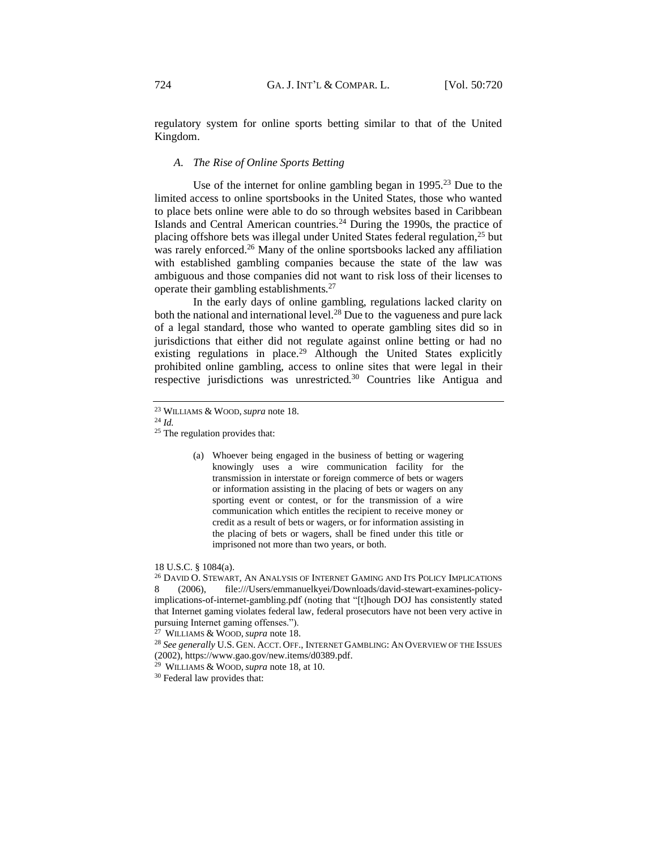regulatory system for online sports betting similar to that of the United Kingdom.

#### <span id="page-4-0"></span>*A. The Rise of Online Sports Betting*

Use of the internet for online gambling began in 1995.<sup>23</sup> Due to the limited access to online sportsbooks in the United States, those who wanted to place bets online were able to do so through websites based in Caribbean Islands and Central American countries.<sup>24</sup> During the 1990s, the practice of placing offshore bets was illegal under United States federal regulation,<sup>25</sup> but was rarely enforced.<sup>26</sup> Many of the online sportsbooks lacked any affiliation with established gambling companies because the state of the law was ambiguous and those companies did not want to risk loss of their licenses to operate their gambling establishments.<sup>27</sup>

In the early days of online gambling, regulations lacked clarity on both the national and international level.<sup>28</sup> Due to the vagueness and pure lack of a legal standard, those who wanted to operate gambling sites did so in jurisdictions that either did not regulate against online betting or had no existing regulations in place.<sup>29</sup> Although the United States explicitly prohibited online gambling, access to online sites that were legal in their respective jurisdictions was unrestricted.<sup>30</sup> Countries like Antigua and

<sup>24</sup> *Id.*

(a) Whoever being engaged in the business of betting or wagering knowingly uses a wire communication facility for the transmission in interstate or foreign commerce of bets or wagers or information assisting in the placing of bets or wagers on any sporting event or contest, or for the transmission of a wire communication which entitles the recipient to receive money or credit as a result of bets or wagers, or for information assisting in the placing of bets or wagers, shall be fined under this title or imprisoned not more than two years, or both.

18 U.S.C. § 1084(a).

<sup>26</sup> DAVID O. STEWART, AN ANALYSIS OF INTERNET GAMING AND ITS POLICY IMPLICATIONS 8 (2006), file:///Users/emmanuelkyei/Downloads/david-stewart-examines-policyimplications-of-internet-gambling.pdf (noting that "[t]hough DOJ has consistently stated that Internet gaming violates federal law, federal prosecutors have not been very active in pursuing Internet gaming offenses.").

<sup>27</sup> WILLIAMS & WOOD,*supra* note 18.

<sup>23</sup> WILLIAMS & WOOD,*supra* note 18.

<sup>&</sup>lt;sup>25</sup> The regulation provides that:

<sup>28</sup> *See generally* U.S. GEN. ACCT. OFF., INTERNET GAMBLING: AN OVERVIEW OF THE ISSUES (2002), https://www.gao.gov/new.items/d0389.pdf.

<sup>29</sup> WILLIAMS & WOOD,*supra* note 18, at 10.

<sup>30</sup> Federal law provides that: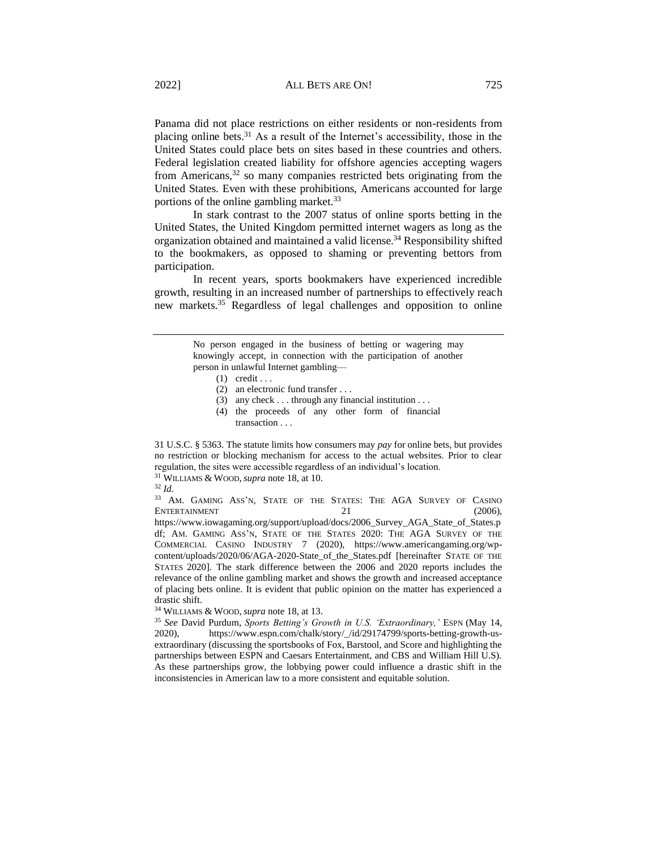Panama did not place restrictions on either residents or non-residents from placing online bets.<sup>31</sup> As a result of the Internet's accessibility, those in the United States could place bets on sites based in these countries and others. Federal legislation created liability for offshore agencies accepting wagers from Americans,<sup>32</sup> so many companies restricted bets originating from the United States. Even with these prohibitions, Americans accounted for large portions of the online gambling market.<sup>33</sup>

In stark contrast to the 2007 status of online sports betting in the United States, the United Kingdom permitted internet wagers as long as the organization obtained and maintained a valid license.<sup>34</sup> Responsibility shifted to the bookmakers, as opposed to shaming or preventing bettors from participation.

In recent years, sports bookmakers have experienced incredible growth, resulting in an increased number of partnerships to effectively reach new markets.<sup>35</sup> Regardless of legal challenges and opposition to online

> No person engaged in the business of betting or wagering may knowingly accept, in connection with the participation of another person in unlawful Internet gambling––

- $(1)$  credit . . .
- (2) an electronic fund transfer . . .
- (3) any check . . . through any financial institution . . .
- (4) the proceeds of any other form of financial transaction . . .

31 U.S.C. § 5363. The statute limits how consumers may *pay* for online bets, but provides no restriction or blocking mechanism for access to the actual websites. Prior to clear regulation, the sites were accessible regardless of an individual's location. <sup>31</sup> WILLIAMS & WOOD,*supra* note 18, at 10.

<sup>32</sup> *Id*.

<sup>33</sup> AM. GAMING ASS'N, STATE OF THE STATES: THE AGA SURVEY OF CASINO ENTERTAINMENT 21 (2006).

https://www.iowagaming.org/support/upload/docs/2006\_Survey\_AGA\_State\_of\_States.p df; AM. GAMING ASS'N, STATE OF THE STATES 2020: THE AGA SURVEY OF THE COMMERCIAL CASINO INDUSTRY 7 (2020), https://www.americangaming.org/wpcontent/uploads/2020/06/AGA-2020-State\_of\_the\_States.pdf [hereinafter STATE OF THE STATES 2020]. The stark difference between the 2006 and 2020 reports includes the relevance of the online gambling market and shows the growth and increased acceptance of placing bets online. It is evident that public opinion on the matter has experienced a drastic shift.

<sup>34</sup> WILLIAMS & WOOD,*supra* note 18, at 13.

<sup>35</sup> *See* David Purdum, *Sports Betting's Growth in U.S. 'Extraordinary,'* ESPN (May 14, 2020), https://www.espn.com/chalk/story/\_/id/29174799/sports-betting-growth-usextraordinary (discussing the sportsbooks of Fox, Barstool, and Score and highlighting the partnerships between ESPN and Caesars Entertainment, and CBS and William Hill U.S). As these partnerships grow, the lobbying power could influence a drastic shift in the inconsistencies in American law to a more consistent and equitable solution.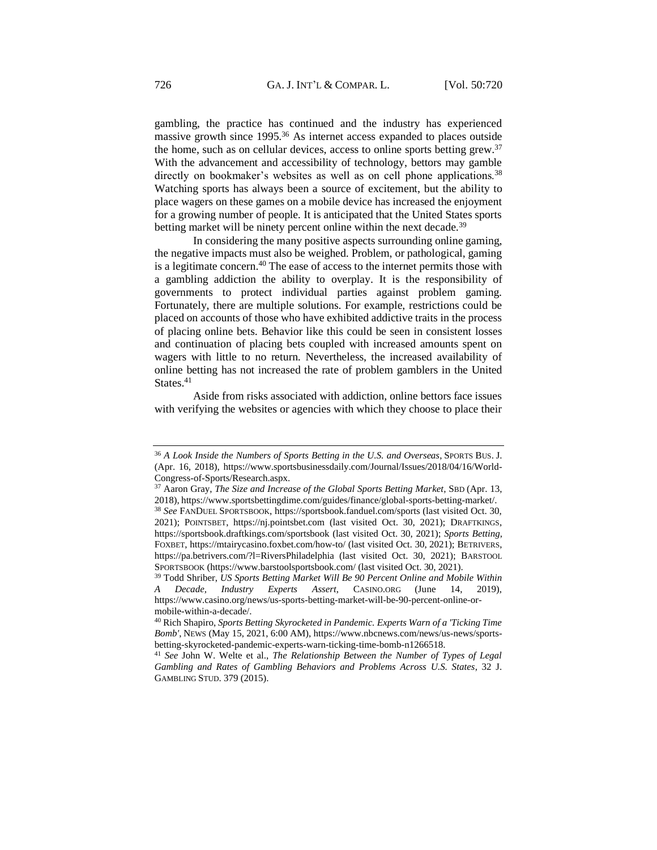gambling, the practice has continued and the industry has experienced massive growth since 1995.<sup>36</sup> As internet access expanded to places outside the home, such as on cellular devices, access to online sports betting grew.<sup>37</sup> With the advancement and accessibility of technology, bettors may gamble directly on bookmaker's websites as well as on cell phone applications.<sup>38</sup> Watching sports has always been a source of excitement, but the ability to place wagers on these games on a mobile device has increased the enjoyment for a growing number of people. It is anticipated that the United States sports betting market will be ninety percent online within the next decade.<sup>39</sup>

In considering the many positive aspects surrounding online gaming, the negative impacts must also be weighed. Problem, or pathological, gaming is a legitimate concern.<sup>40</sup> The ease of access to the internet permits those with a gambling addiction the ability to overplay. It is the responsibility of governments to protect individual parties against problem gaming. Fortunately, there are multiple solutions. For example, restrictions could be placed on accounts of those who have exhibited addictive traits in the process of placing online bets. Behavior like this could be seen in consistent losses and continuation of placing bets coupled with increased amounts spent on wagers with little to no return. Nevertheless, the increased availability of online betting has not increased the rate of problem gamblers in the United States.<sup>41</sup>

Aside from risks associated with addiction, online bettors face issues with verifying the websites or agencies with which they choose to place their

<sup>36</sup> *A Look Inside the Numbers of Sports Betting in the U.S. and Overseas*, SPORTS BUS. J. (Apr. 16, 2018), https://www.sportsbusinessdaily.com/Journal/Issues/2018/04/16/World-Congress-of-Sports/Research.aspx.

<sup>37</sup> Aaron Gray, *The Size and Increase of the Global Sports Betting Market*, SBD (Apr. 13, 2018), https://www.sportsbettingdime.com/guides/finance/global-sports-betting-market/. <sup>38</sup> *See* FANDUEL SPORTSBOOK, https://sportsbook.fanduel.com/sports (last visited Oct. 30, 2021); POINTSBET, https://nj.pointsbet.com (last visited Oct. 30, 2021); DRAFTKINGS,

https://sportsbook.draftkings.com/sportsbook (last visited Oct. 30, 2021); *Sports Betting*, FOXBET, https://mtairycasino.foxbet.com/how-to/ (last visited Oct. 30, 2021); BETRIVERS, https://pa.betrivers.com/?l=RiversPhiladelphia (last visited Oct. 30, 2021); BARSTOOL SPORTSBOOK (https://www.barstoolsportsbook.com/ (last visited Oct. 30, 2021).

<sup>39</sup> Todd Shriber, *US Sports Betting Market Will Be 90 Percent Online and Mobile Within A Decade, Industry Experts Assert*, CASINO.ORG (June 14, 2019), https://www.casino.org/news/us-sports-betting-market-will-be-90-percent-online-ormobile-within-a-decade/.

<sup>40</sup> Rich Shapiro, *Sports Betting Skyrocketed in Pandemic. Experts Warn of a 'Ticking Time Bomb'*, NEWS (May 15, 2021, 6:00 AM), https://www.nbcnews.com/news/us-news/sportsbetting-skyrocketed-pandemic-experts-warn-ticking-time-bomb-n1266518.

<sup>41</sup> *See* John W. Welte et al., *The Relationship Between the Number of Types of Legal Gambling and Rates of Gambling Behaviors and Problems Across U.S. States*, 32 J. GAMBLING STUD. 379 (2015).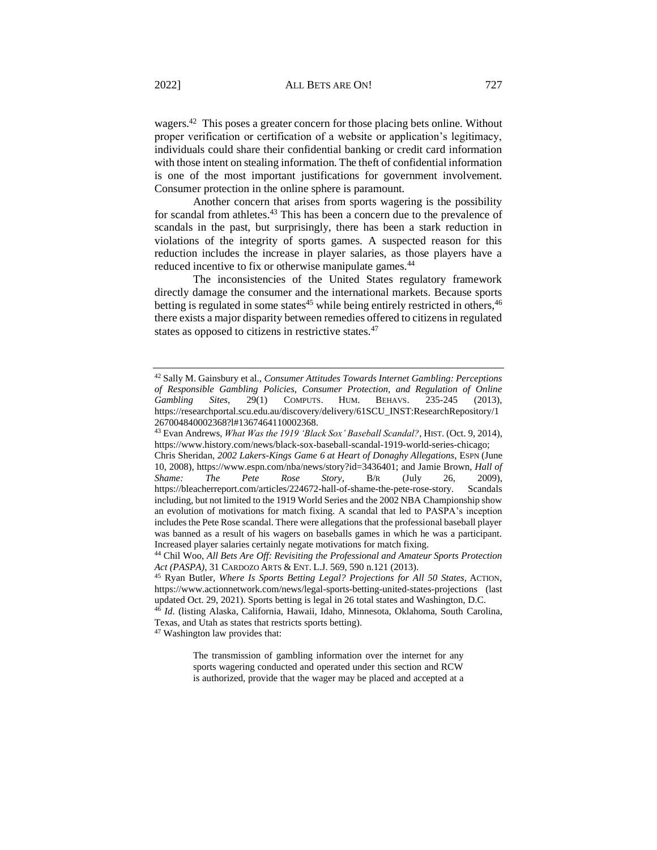wagers.<sup>42</sup> This poses a greater concern for those placing bets online. Without proper verification or certification of a website or application's legitimacy, individuals could share their confidential banking or credit card information with those intent on stealing information. The theft of confidential information is one of the most important justifications for government involvement. Consumer protection in the online sphere is paramount.

Another concern that arises from sports wagering is the possibility for scandal from athletes.<sup>43</sup> This has been a concern due to the prevalence of scandals in the past, but surprisingly, there has been a stark reduction in violations of the integrity of sports games. A suspected reason for this reduction includes the increase in player salaries, as those players have a reduced incentive to fix or otherwise manipulate games.<sup>44</sup>

The inconsistencies of the United States regulatory framework directly damage the consumer and the international markets. Because sports betting is regulated in some states $45$  while being entirely restricted in others,  $46$ there exists a major disparity between remedies offered to citizens in regulated states as opposed to citizens in restrictive states.<sup>47</sup>

<sup>47</sup> Washington law provides that:

The transmission of gambling information over the internet for any sports wagering conducted and operated under this section and RCW is authorized, provide that the wager may be placed and accepted at a

<sup>42</sup> Sally M. Gainsbury et al., *Consumer Attitudes Towards Internet Gambling: Perceptions of Responsible Gambling Policies, Consumer Protection, and Regulation of Online Gambling Sites*, 29(1) COMPUTS. HUM. BEHAVS. 235-245 (2013), https://researchportal.scu.edu.au/discovery/delivery/61SCU\_INST:ResearchRepository/1 267004840002368?l#1367464110002368.

<sup>43</sup> Evan Andrews, *What Was the 1919 'Black Sox' Baseball Scandal?*, HIST. (Oct. 9, 2014), https://www.history.com/news/black-sox-baseball-scandal-1919-world-series-chicago;

Chris Sheridan, *2002 Lakers-Kings Game 6 at Heart of Donaghy Allegations*, ESPN (June 10, 2008), https://www.espn.com/nba/news/story?id=3436401; and Jamie Brown, *Hall of Shame: The Pete Rose Story*, B/R (July 26, 2009), https://bleacherreport.com/articles/224672-hall-of-shame-the-pete-rose-story. Scandals including, but not limited to the 1919 World Series and the 2002 NBA Championship show an evolution of motivations for match fixing. A scandal that led to PASPA's inception includes the Pete Rose scandal. There were allegations that the professional baseball player was banned as a result of his wagers on baseballs games in which he was a participant. Increased player salaries certainly negate motivations for match fixing.

<sup>44</sup> Chil Woo, *All Bets Are Off: Revisiting the Professional and Amateur Sports Protection Act (PASPA)*, 31 CARDOZO ARTS & ENT. L.J. 569, 590 n.121 (2013).

<sup>45</sup> Ryan Butler, *Where Is Sports Betting Legal? Projections for All 50 States,* ACTION, https://www.actionnetwork.com/news/legal-sports-betting-united-states-projections (last updated Oct. 29, 2021). Sports betting is legal in 26 total states and Washington, D.C.

<sup>46</sup> *Id*. (listing Alaska, California, Hawaii, Idaho, Minnesota, Oklahoma, South Carolina, Texas, and Utah as states that restricts sports betting).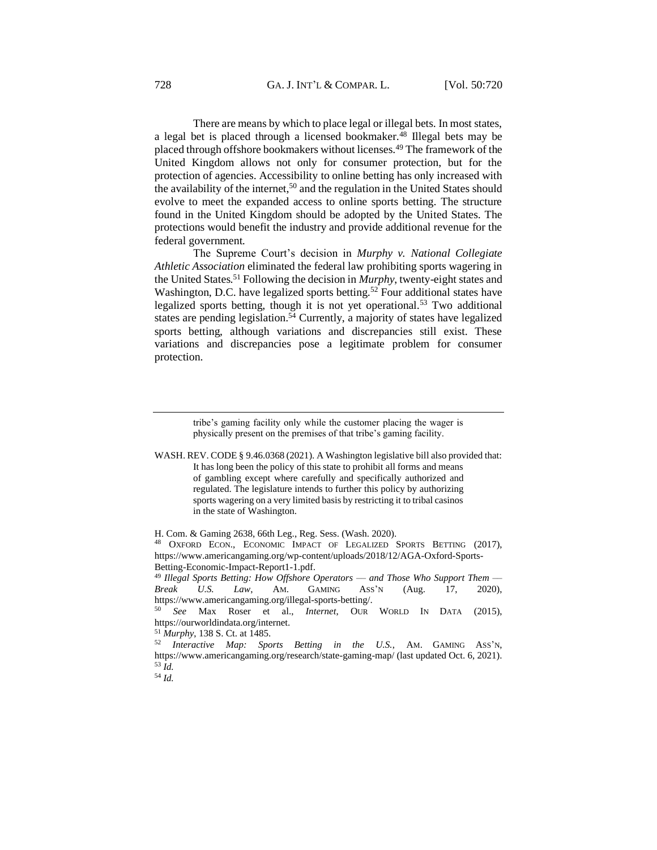There are means by which to place legal or illegal bets. In most states, a legal bet is placed through a licensed bookmaker.<sup>48</sup> Illegal bets may be placed through offshore bookmakers without licenses.<sup>49</sup> The framework of the United Kingdom allows not only for consumer protection, but for the protection of agencies. Accessibility to online betting has only increased with the availability of the internet,<sup>50</sup> and the regulation in the United States should evolve to meet the expanded access to online sports betting. The structure found in the United Kingdom should be adopted by the United States. The protections would benefit the industry and provide additional revenue for the federal government.

The Supreme Court's decision in *Murphy v. National Collegiate Athletic Association* eliminated the federal law prohibiting sports wagering in the United States.<sup>51</sup> Following the decision in *Murphy*, twenty-eight states and Washington, D.C. have legalized sports betting.<sup>52</sup> Four additional states have legalized sports betting, though it is not yet operational.<sup>53</sup> Two additional states are pending legislation.<sup>54</sup> Currently, a majority of states have legalized sports betting, although variations and discrepancies still exist. These variations and discrepancies pose a legitimate problem for consumer protection.

> tribe's gaming facility only while the customer placing the wager is physically present on the premises of that tribe's gaming facility.

WASH. REV. CODE § 9.46.0368 (2021). A Washington legislative bill also provided that: It has long been the policy of this state to prohibit all forms and means of gambling except where carefully and specifically authorized and regulated. The legislature intends to further this policy by authorizing sports wagering on a very limited basis by restricting it to tribal casinos in the state of Washington.

<sup>54</sup> *Id.*

H. Com. & Gaming 2638, 66th Leg., Reg. Sess. (Wash. 2020).

<sup>48</sup> OXFORD ECON., ECONOMIC IMPACT OF LEGALIZED SPORTS BETTING (2017), https://www.americangaming.org/wp-content/uploads/2018/12/AGA-Oxford-Sports-Betting-Economic-Impact-Report1-1.pdf.

<sup>49</sup> *Illegal Sports Betting: How Offshore Operators –– and Those Who Support Them –– Break U.S. Law*, AM. GAMING ASS'N (Aug. 17, 2020), https://www.americangaming.org/illegal-sports-betting/.

<sup>50</sup> *See* Max Roser et al., *Internet*, OUR WORLD IN DATA (2015), https://ourworldindata.org/internet.

<sup>51</sup> *Murphy*, 138 S. Ct. at 1485.

<sup>52</sup> *Interactive Map: Sports Betting in the U.S.*, AM. GAMING ASS'N, https://www.americangaming.org/research/state-gaming-map/ (last updated Oct. 6, 2021). <sup>53</sup> *Id.*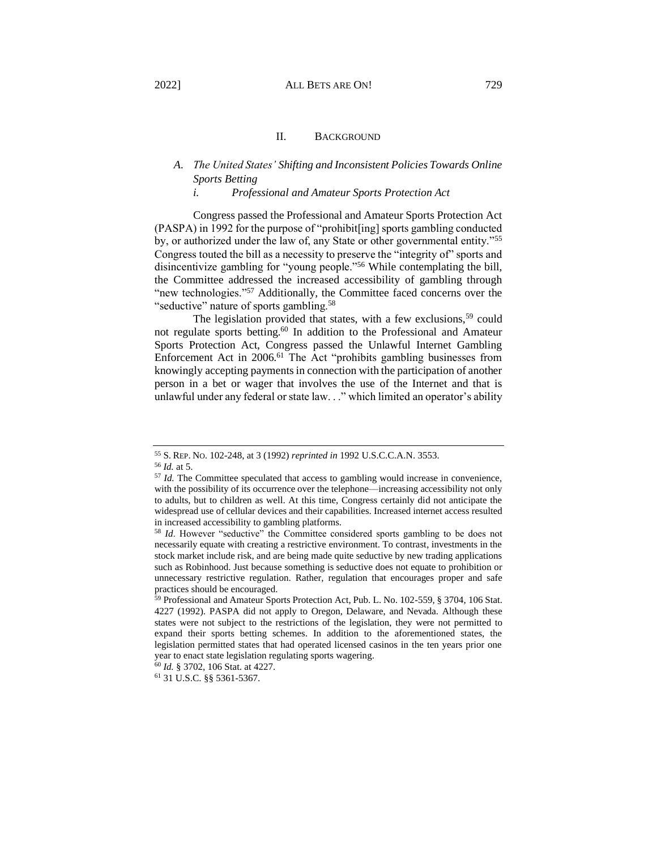# <span id="page-9-1"></span><span id="page-9-0"></span>*A. The United States' Shifting and Inconsistent Policies Towards Online Sports Betting*

#### *i. Professional and Amateur Sports Protection Act*

<span id="page-9-2"></span>Congress passed the Professional and Amateur Sports Protection Act (PASPA) in 1992 for the purpose of "prohibit[ing] sports gambling conducted by, or authorized under the law of, any State or other governmental entity."<sup>55</sup> Congress touted the bill as a necessity to preserve the "integrity of" sports and disincentivize gambling for "young people."<sup>56</sup> While contemplating the bill, the Committee addressed the increased accessibility of gambling through "new technologies."<sup>57</sup> Additionally, the Committee faced concerns over the "seductive" nature of sports gambling.<sup>58</sup>

The legislation provided that states, with a few exclusions,<sup>59</sup> could not regulate sports betting.<sup>60</sup> In addition to the Professional and Amateur Sports Protection Act, Congress passed the Unlawful Internet Gambling Enforcement Act in 2006.<sup>61</sup> The Act "prohibits gambling businesses from knowingly accepting payments in connection with the participation of another person in a bet or wager that involves the use of the Internet and that is unlawful under any federal or state law. . ." which limited an operator's ability

<sup>55</sup> S. REP. NO. 102-248, at 3 (1992) *reprinted in* 1992 U.S.C.C.A.N. 3553.

<sup>56</sup> *Id.* at 5.

<sup>57</sup> *Id.* The Committee speculated that access to gambling would increase in convenience, with the possibility of its occurrence over the telephone—increasing accessibility not only to adults, but to children as well. At this time, Congress certainly did not anticipate the widespread use of cellular devices and their capabilities. Increased internet access resulted in increased accessibility to gambling platforms.

<sup>58</sup> *Id*. However "seductive" the Committee considered sports gambling to be does not necessarily equate with creating a restrictive environment. To contrast, investments in the stock market include risk, and are being made quite seductive by new trading applications such as Robinhood. Just because something is seductive does not equate to prohibition or unnecessary restrictive regulation. Rather, regulation that encourages proper and safe practices should be encouraged.

<sup>59</sup> Professional and Amateur Sports Protection Act, Pub. L. No. 102-559, § 3704, 106 Stat. 4227 (1992). PASPA did not apply to Oregon, Delaware, and Nevada. Although these states were not subject to the restrictions of the legislation, they were not permitted to expand their sports betting schemes. In addition to the aforementioned states, the legislation permitted states that had operated licensed casinos in the ten years prior one year to enact state legislation regulating sports wagering.

<sup>60</sup> *Id.* § 3702, 106 Stat. at 4227.

<sup>61</sup> 31 U.S.C. §§ 5361-5367.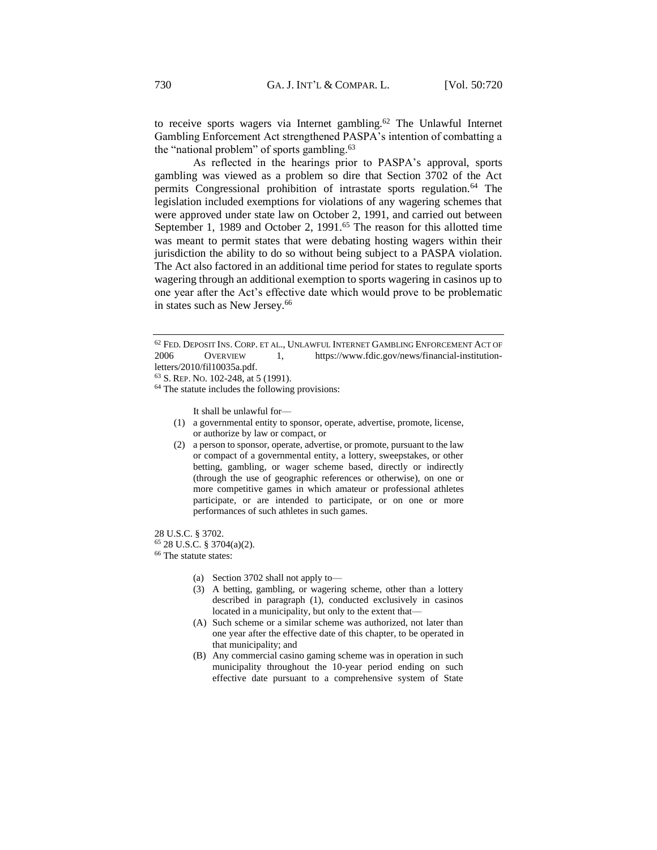to receive sports wagers via Internet gambling.<sup>62</sup> The Unlawful Internet Gambling Enforcement Act strengthened PASPA's intention of combatting a the "national problem" of sports gambling.<sup>63</sup>

As reflected in the hearings prior to PASPA's approval, sports gambling was viewed as a problem so dire that Section 3702 of the Act permits Congressional prohibition of intrastate sports regulation.<sup>64</sup> The legislation included exemptions for violations of any wagering schemes that were approved under state law on October 2, 1991, and carried out between September 1, 1989 and October 2, 1991.<sup>65</sup> The reason for this allotted time was meant to permit states that were debating hosting wagers within their jurisdiction the ability to do so without being subject to a PASPA violation. The Act also factored in an additional time period for states to regulate sports wagering through an additional exemption to sports wagering in casinos up to one year after the Act's effective date which would prove to be problematic in states such as New Jersey.<sup>66</sup>

It shall be unlawful for––

- (1) a governmental entity to sponsor, operate, advertise, promote, license, or authorize by law or compact, or
- (2) a person to sponsor, operate, advertise, or promote, pursuant to the law or compact of a governmental entity, a lottery, sweepstakes, or other betting, gambling, or wager scheme based, directly or indirectly (through the use of geographic references or otherwise), on one or more competitive games in which amateur or professional athletes participate, or are intended to participate, or on one or more performances of such athletes in such games.

28 U.S.C. § 3702.

<sup>65</sup> 28 U.S.C. § 3704(a)(2).

<sup>66</sup> The statute states:

- (a) Section 3702 shall not apply to––
- (3) A betting, gambling, or wagering scheme, other than a lottery described in paragraph (1), conducted exclusively in casinos located in a municipality, but only to the extent that—
- (A) Such scheme or a similar scheme was authorized, not later than one year after the effective date of this chapter, to be operated in that municipality; and
- (B) Any commercial casino gaming scheme was in operation in such municipality throughout the 10-year period ending on such effective date pursuant to a comprehensive system of State

<sup>62</sup> FED. DEPOSIT INS. CORP. ET AL., UNLAWFUL INTERNET GAMBLING ENFORCEMENT ACT OF 2006 OVERVIEW 1, https://www.fdic.gov/news/financial-institutionletters/2010/fil10035a.pdf.

<sup>63</sup> S. REP. NO. 102-248, at 5 (1991).

<sup>&</sup>lt;sup>64</sup> The statute includes the following provisions: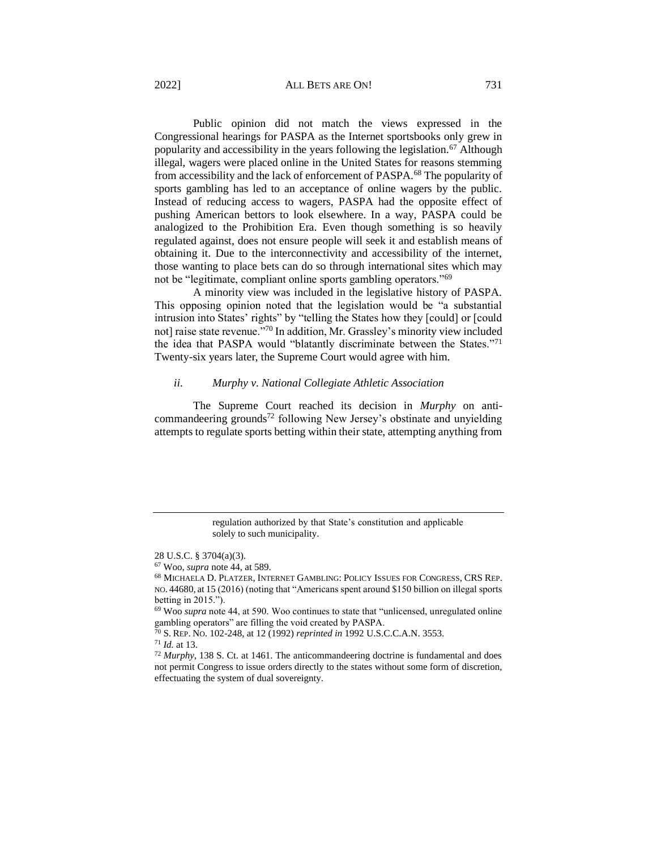#### 2022] ALL BETS ARE ON! 731

Public opinion did not match the views expressed in the Congressional hearings for PASPA as the Internet sportsbooks only grew in popularity and accessibility in the years following the legislation.<sup>67</sup> Although illegal, wagers were placed online in the United States for reasons stemming from accessibility and the lack of enforcement of PASPA.<sup>68</sup> The popularity of sports gambling has led to an acceptance of online wagers by the public. Instead of reducing access to wagers, PASPA had the opposite effect of pushing American bettors to look elsewhere. In a way, PASPA could be analogized to the Prohibition Era. Even though something is so heavily regulated against, does not ensure people will seek it and establish means of obtaining it. Due to the interconnectivity and accessibility of the internet, those wanting to place bets can do so through international sites which may not be "legitimate, compliant online sports gambling operators."<sup>69</sup>

A minority view was included in the legislative history of PASPA. This opposing opinion noted that the legislation would be "a substantial intrusion into States' rights" by "telling the States how they [could] or [could not] raise state revenue."<sup>70</sup> In addition, Mr. Grassley's minority view included the idea that PASPA would "blatantly discriminate between the States."<sup>71</sup> Twenty-six years later, the Supreme Court would agree with him.

#### <span id="page-11-0"></span>*ii. Murphy v. National Collegiate Athletic Association*

The Supreme Court reached its decision in *Murphy* on anticommandeering grounds<sup>72</sup> following New Jersey's obstinate and unyielding attempts to regulate sports betting within their state, attempting anything from

regulation authorized by that State's constitution and applicable solely to such municipality.

<sup>28</sup> U.S.C. § 3704(a)(3).

<sup>67</sup> Woo, *supra* note 44, at 589.

<sup>68</sup> MICHAELA D. PLATZER, INTERNET GAMBLING: POLICY ISSUES FOR CONGRESS, CRS REP. NO. 44680, at 15 (2016) (noting that "Americans spent around \$150 billion on illegal sports betting in 2015.").

<sup>69</sup> Woo *supra* note 44, at 590. Woo continues to state that "unlicensed, unregulated online gambling operators" are filling the void created by PASPA.

<sup>70</sup> S. REP. NO. 102-248, at 12 (1992) *reprinted in* 1992 U.S.C.C.A.N. 3553.

<sup>71</sup> *Id.* at 13.

<sup>72</sup> *Murphy*, 138 S. Ct. at 1461. The anticommandeering doctrine is fundamental and does not permit Congress to issue orders directly to the states without some form of discretion, effectuating the system of dual sovereignty.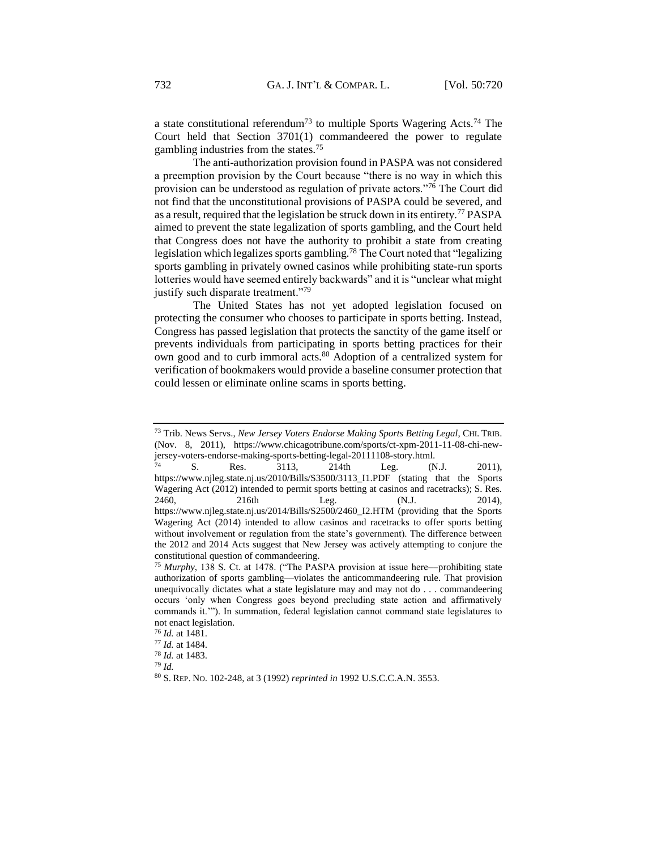a state constitutional referendum<sup>73</sup> to multiple Sports Wagering Acts.<sup>74</sup> The Court held that Section 3701(1) commandeered the power to regulate gambling industries from the states.<sup>75</sup>

The anti-authorization provision found in PASPA was not considered a preemption provision by the Court because "there is no way in which this provision can be understood as regulation of private actors."<sup>76</sup> The Court did not find that the unconstitutional provisions of PASPA could be severed, and as a result, required that the legislation be struck down in its entirety.<sup>77</sup> PASPA aimed to prevent the state legalization of sports gambling, and the Court held that Congress does not have the authority to prohibit a state from creating legislation which legalizes sports gambling.<sup>78</sup> The Court noted that "legalizing sports gambling in privately owned casinos while prohibiting state-run sports lotteries would have seemed entirely backwards" and it is "unclear what might justify such disparate treatment."<sup>79</sup>

The United States has not yet adopted legislation focused on protecting the consumer who chooses to participate in sports betting. Instead, Congress has passed legislation that protects the sanctity of the game itself or prevents individuals from participating in sports betting practices for their own good and to curb immoral acts.<sup>80</sup> Adoption of a centralized system for verification of bookmakers would provide a baseline consumer protection that could lessen or eliminate online scams in sports betting.

<sup>73</sup> Trib. News Servs., *New Jersey Voters Endorse Making Sports Betting Legal*, CHI. TRIB. (Nov. 8, 2011), https://www.chicagotribune.com/sports/ct-xpm-2011-11-08-chi-newjersey-voters-endorse-making-sports-betting-legal-20111108-story.html.

<sup>74</sup> S. Res. 3113, 214th Leg. (N.J. 2011), https://www.njleg.state.nj.us/2010/Bills/S3500/3113\_I1.PDF (stating that the Sports Wagering Act (2012) intended to permit sports betting at casinos and racetracks); S. Res. 2460, 216th Leg. (N.J. 2014), https://www.njleg.state.nj.us/2014/Bills/S2500/2460\_I2.HTM (providing that the Sports Wagering Act (2014) intended to allow casinos and racetracks to offer sports betting without involvement or regulation from the state's government). The difference between the 2012 and 2014 Acts suggest that New Jersey was actively attempting to conjure the constitutional question of commandeering.

<sup>75</sup> *Murphy*, 138 S. Ct. at 1478. ("The PASPA provision at issue here––prohibiting state authorization of sports gambling––violates the anticommandeering rule. That provision unequivocally dictates what a state legislature may and may not do . . . commandeering occurs 'only when Congress goes beyond precluding state action and affirmatively commands it.'"). In summation, federal legislation cannot command state legislatures to not enact legislation.

<sup>76</sup> *Id.* at 1481.

<sup>77</sup> *Id.* at 1484.

<sup>78</sup> *Id.* at 1483.

<sup>79</sup> *Id.*

<sup>80</sup> S. REP. NO. 102-248, at 3 (1992) *reprinted in* 1992 U.S.C.C.A.N. 3553.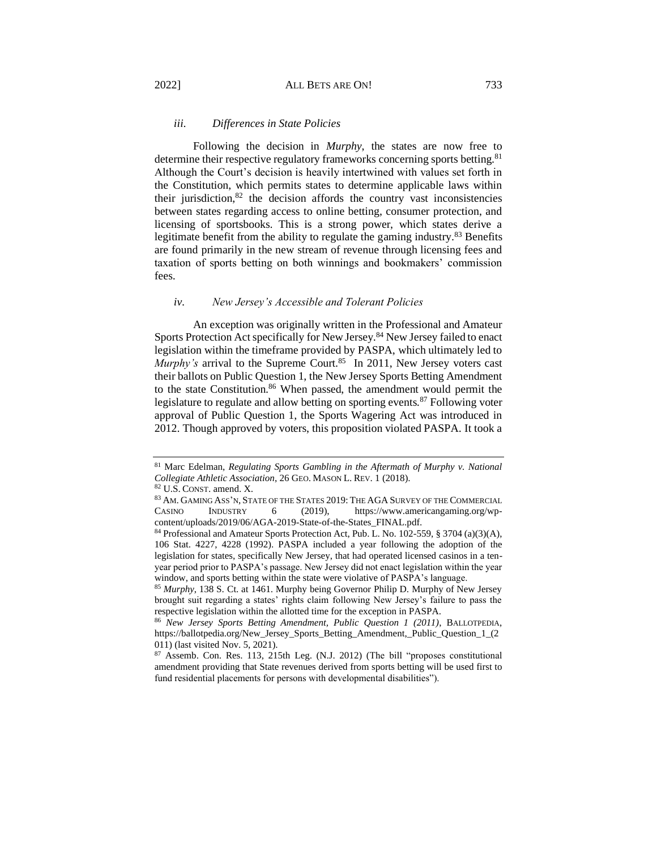## <span id="page-13-0"></span>*iii. Differences in State Policies*

Following the decision in *Murphy*, the states are now free to determine their respective regulatory frameworks concerning sports betting.<sup>81</sup> Although the Court's decision is heavily intertwined with values set forth in the Constitution, which permits states to determine applicable laws within their jurisdiction, $82$  the decision affords the country vast inconsistencies between states regarding access to online betting, consumer protection, and licensing of sportsbooks. This is a strong power, which states derive a legitimate benefit from the ability to regulate the gaming industry.<sup>83</sup> Benefits are found primarily in the new stream of revenue through licensing fees and taxation of sports betting on both winnings and bookmakers' commission fees.

#### <span id="page-13-1"></span>*iv. New Jersey's Accessible and Tolerant Policies*

An exception was originally written in the Professional and Amateur Sports Protection Act specifically for New Jersey.<sup>84</sup> New Jersey failed to enact legislation within the timeframe provided by PASPA, which ultimately led to *Murphy's* arrival to the Supreme Court.<sup>85</sup> In 2011, New Jersey voters cast their ballots on Public Question 1, the New Jersey Sports Betting Amendment to the state Constitution.<sup>86</sup> When passed, the amendment would permit the legislature to regulate and allow betting on sporting events.<sup>87</sup> Following voter approval of Public Question 1, the Sports Wagering Act was introduced in 2012. Though approved by voters, this proposition violated PASPA. It took a

<sup>81</sup> Marc Edelman, *Regulating Sports Gambling in the Aftermath of Murphy v. National Collegiate Athletic Association*, 26 GEO. MASON L. REV. 1 (2018).

<sup>82</sup> U.S. CONST. amend. X.

 $^{83}$  Am. GAMING Ass'N, STATE OF THE STATES 2019: THE AGA SURVEY OF THE COMMERCIAL CASINO INDUSTRY 6 (2019), https://www.americangaming.org/wpcontent/uploads/2019/06/AGA-2019-State-of-the-States\_FINAL.pdf.

<sup>&</sup>lt;sup>84</sup> Professional and Amateur Sports Protection Act, Pub. L. No. 102-559, § 3704 (a)(3)(A), 106 Stat. 4227, 4228 (1992). PASPA included a year following the adoption of the legislation for states, specifically New Jersey, that had operated licensed casinos in a tenyear period prior to PASPA's passage. New Jersey did not enact legislation within the year window, and sports betting within the state were violative of PASPA's language.

<sup>85</sup> *Murphy*, 138 S. Ct. at 1461. Murphy being Governor Philip D. Murphy of New Jersey brought suit regarding a states' rights claim following New Jersey's failure to pass the respective legislation within the allotted time for the exception in PASPA.

<sup>86</sup> *New Jersey Sports Betting Amendment, Public Question 1 (2011)*, BALLOTPEDIA, https://ballotpedia.org/New\_Jersey\_Sports\_Betting\_Amendment,\_Public\_Question\_1\_(2 011) (last visited Nov. 5, 2021).

<sup>87</sup> Assemb. Con. Res. 113, 215th Leg. (N.J. 2012) (The bill "proposes constitutional amendment providing that State revenues derived from sports betting will be used first to fund residential placements for persons with developmental disabilities").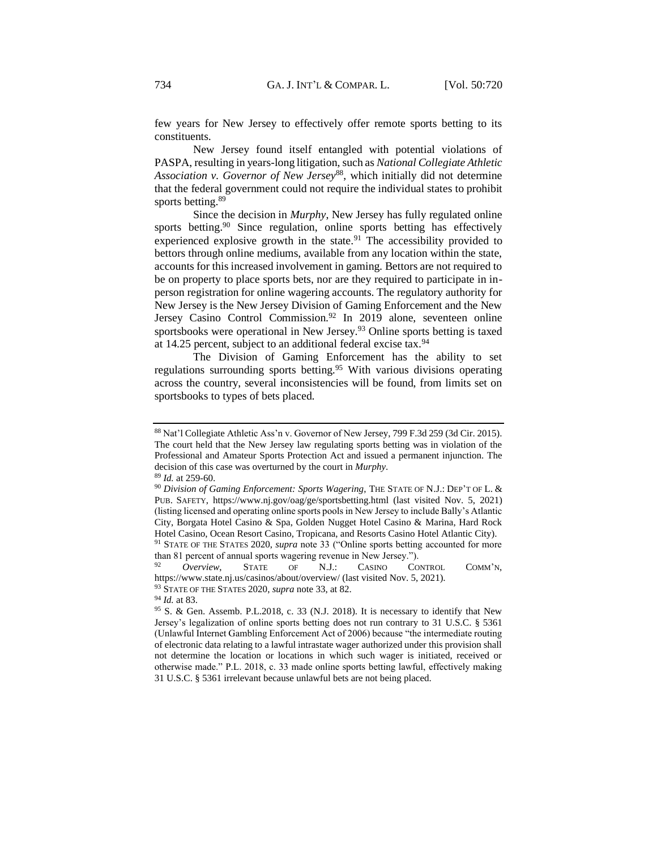few years for New Jersey to effectively offer remote sports betting to its constituents.

New Jersey found itself entangled with potential violations of PASPA, resulting in years-long litigation, such as *National Collegiate Athletic Association v. Governor of New Jersey*<sup>88</sup>, which initially did not determine that the federal government could not require the individual states to prohibit sports betting.<sup>89</sup>

Since the decision in *Murphy*, New Jersey has fully regulated online sports betting.<sup>90</sup> Since regulation, online sports betting has effectively experienced explosive growth in the state.<sup>91</sup> The accessibility provided to bettors through online mediums, available from any location within the state, accounts for this increased involvement in gaming. Bettors are not required to be on property to place sports bets, nor are they required to participate in inperson registration for online wagering accounts. The regulatory authority for New Jersey is the New Jersey Division of Gaming Enforcement and the New Jersey Casino Control Commission.<sup>92</sup> In 2019 alone, seventeen online sportsbooks were operational in New Jersey.<sup>93</sup> Online sports betting is taxed at 14.25 percent, subject to an additional federal excise tax.<sup>94</sup>

The Division of Gaming Enforcement has the ability to set regulations surrounding sports betting.<sup>95</sup> With various divisions operating across the country, several inconsistencies will be found, from limits set on sportsbooks to types of bets placed.

<sup>94</sup> *Id.* at 83.

<sup>88</sup> Nat'l Collegiate Athletic Ass'n v. Governor of New Jersey, 799 F.3d 259 (3d Cir. 2015). The court held that the New Jersey law regulating sports betting was in violation of the Professional and Amateur Sports Protection Act and issued a permanent injunction. The decision of this case was overturned by the court in *Murphy*.

<sup>89</sup> *Id.* at 259-60.

<sup>90</sup> *Division of Gaming Enforcement: Sports Wagering*, THE STATE OF N.J.: DEP'T OF L. & PUB. SAFETY, https://www.nj.gov/oag/ge/sportsbetting.html (last visited Nov. 5, 2021) (listing licensed and operating online sports pools in New Jersey to include Bally's Atlantic City, Borgata Hotel Casino & Spa, Golden Nugget Hotel Casino & Marina, Hard Rock Hotel Casino, Ocean Resort Casino, Tropicana, and Resorts Casino Hotel Atlantic City). <sup>91</sup> STATE OF THE STATES 2020, *supra* note 33 ("Online sports betting accounted for more

than 81 percent of annual sports wagering revenue in New Jersey.").

<sup>92</sup> *Overview*, STATE OF N.J.: CASINO CONTROL COMM'N, https://www.state.nj.us/casinos/about/overview/ (last visited Nov. 5, 2021).

<sup>93</sup> STATE OF THE STATES 2020, *supra* note 33, at 82.

<sup>&</sup>lt;sup>95</sup> S. & Gen. Assemb. P.L.2018, c. 33 (N.J. 2018). It is necessary to identify that New Jersey's legalization of online sports betting does not run contrary to 31 U.S.C. § 5361 (Unlawful Internet Gambling Enforcement Act of 2006) because "the intermediate routing of electronic data relating to a lawful intrastate wager authorized under this provision shall not determine the location or locations in which such wager is initiated, received or otherwise made." P.L. 2018, c. 33 made online sports betting lawful, effectively making 31 U.S.C. § 5361 irrelevant because unlawful bets are not being placed.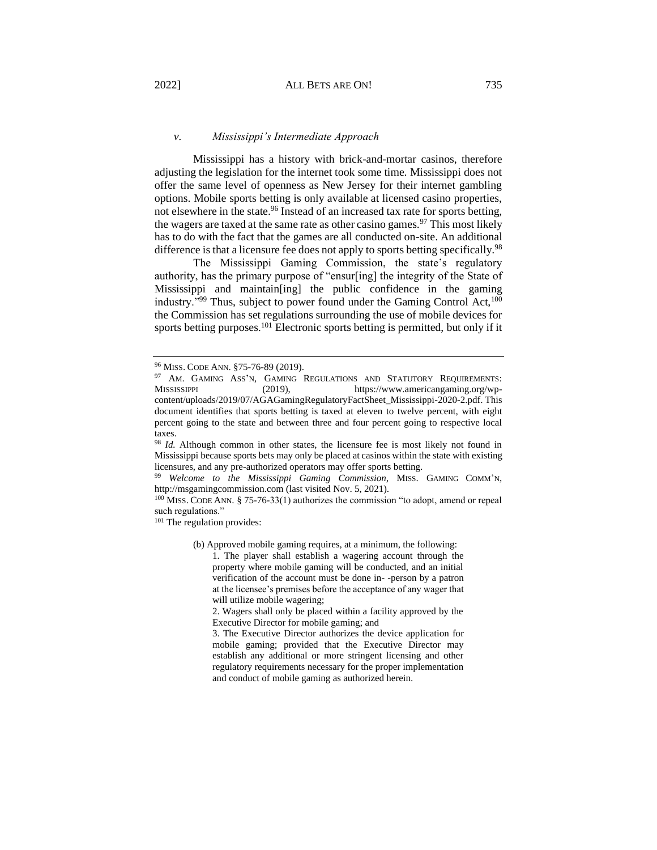<span id="page-15-0"></span>Mississippi has a history with brick-and-mortar casinos, therefore adjusting the legislation for the internet took some time. Mississippi does not offer the same level of openness as New Jersey for their internet gambling options. Mobile sports betting is only available at licensed casino properties, not elsewhere in the state.<sup>96</sup> Instead of an increased tax rate for sports betting, the wagers are taxed at the same rate as other casino games.<sup>97</sup> This most likely has to do with the fact that the games are all conducted on-site. An additional difference is that a licensure fee does not apply to sports betting specifically.<sup>98</sup>

The Mississippi Gaming Commission, the state's regulatory authority, has the primary purpose of "ensur[ing] the integrity of the State of Mississippi and maintain[ing] the public confidence in the gaming industry."<sup>99</sup> Thus, subject to power found under the Gaming Control Act,  $100$ the Commission has set regulations surrounding the use of mobile devices for sports betting purposes.<sup>101</sup> Electronic sports betting is permitted, but only if it

<sup>98</sup> *Id.* Although common in other states, the licensure fee is most likely not found in Mississippi because sports bets may only be placed at casinos within the state with existing licensures, and any pre-authorized operators may offer sports betting.

<sup>99</sup> *Welcome to the Mississippi Gaming Commission*, MISS. GAMING COMM'N, http://msgamingcommission.com (last visited Nov. 5, 2021).

<sup>100</sup> MISS. CODE ANN. § 75-76-33(1) authorizes the commission "to adopt, amend or repeal such regulations."

<sup>101</sup> The regulation provides:

(b) Approved mobile gaming requires, at a minimum, the following:

1. The player shall establish a wagering account through the property where mobile gaming will be conducted, and an initial verification of the account must be done in- -person by a patron at the licensee's premises before the acceptance of any wager that will utilize mobile wagering;

2. Wagers shall only be placed within a facility approved by the Executive Director for mobile gaming; and

3. The Executive Director authorizes the device application for mobile gaming; provided that the Executive Director may establish any additional or more stringent licensing and other regulatory requirements necessary for the proper implementation and conduct of mobile gaming as authorized herein.

<sup>96</sup> MISS. CODE ANN. §75-76-89 (2019).

<sup>&</sup>lt;sup>97</sup> AM. GAMING ASS'N, GAMING REGULATIONS AND STATUTORY REQUIREMENTS:<br>MISSISSIPPI (2019). https://www.americangaming.org/wp- $(2019)$ , https://www.americangaming.org/wpcontent/uploads/2019/07/AGAGamingRegulatoryFactSheet\_Mississippi-2020-2.pdf. This document identifies that sports betting is taxed at eleven to twelve percent, with eight percent going to the state and between three and four percent going to respective local taxes.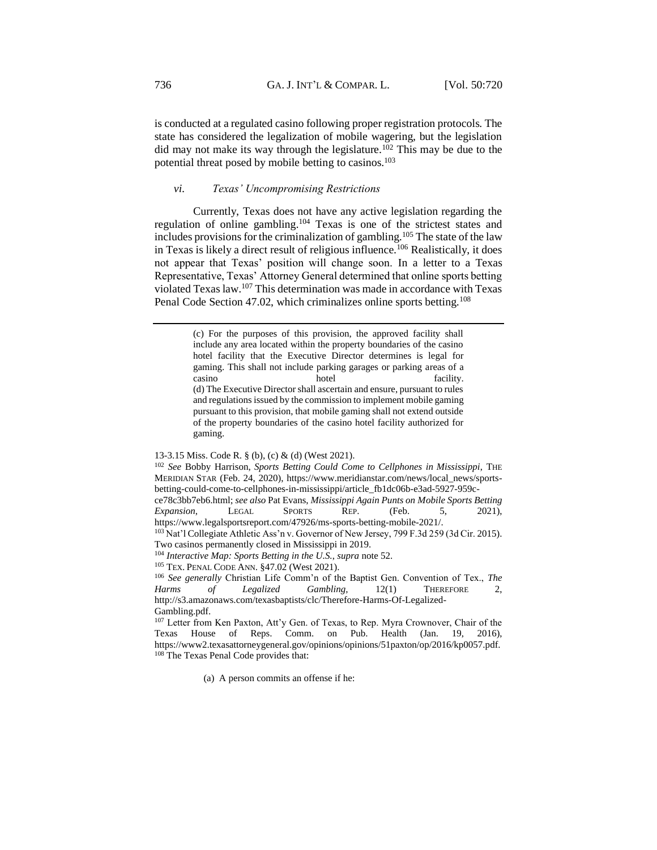is conducted at a regulated casino following proper registration protocols. The state has considered the legalization of mobile wagering, but the legislation did may not make its way through the legislature.<sup>102</sup> This may be due to the potential threat posed by mobile betting to casinos.<sup>103</sup>

## <span id="page-16-0"></span>*vi. Texas' Uncompromising Restrictions*

Currently, Texas does not have any active legislation regarding the regulation of online gambling.<sup>104</sup> Texas is one of the strictest states and includes provisions for the criminalization of gambling.<sup>105</sup> The state of the law in Texas is likely a direct result of religious influence.<sup>106</sup> Realistically, it does not appear that Texas' position will change soon. In a letter to a Texas Representative, Texas' Attorney General determined that online sports betting violated Texas law.<sup>107</sup> This determination was made in accordance with Texas Penal Code Section 47.02, which criminalizes online sports betting.<sup>108</sup>

(a) A person commits an offense if he:

<sup>(</sup>c) For the purposes of this provision, the approved facility shall include any area located within the property boundaries of the casino hotel facility that the Executive Director determines is legal for gaming. This shall not include parking garages or parking areas of a casino hotel facility. (d) The Executive Director shall ascertain and ensure, pursuant to rules and regulations issued by the commission to implement mobile gaming pursuant to this provision, that mobile gaming shall not extend outside of the property boundaries of the casino hotel facility authorized for gaming.

<sup>13-3.15</sup> Miss. Code R. § (b), (c) & (d) (West 2021).

<sup>102</sup> *See* Bobby Harrison, *Sports Betting Could Come to Cellphones in Mississippi*, THE MERIDIAN STAR (Feb. 24, 2020), https://www.meridianstar.com/news/local\_news/sportsbetting-could-come-to-cellphones-in-mississippi/article\_fb1dc06b-e3ad-5927-959c-

ce78c3bb7eb6.html; *see also* Pat Evans, *Mississippi Again Punts on Mobile Sports Betting Expansion*, LEGAL SPORTS REP. (Feb. 5, 2021), https://www.legalsportsreport.com/47926/ms-sports-betting-mobile-2021/.

<sup>&</sup>lt;sup>103</sup> Nat'l Collegiate Athletic Ass'n v. Governor of New Jersey, 799 F.3d 259 (3d Cir. 2015). Two casinos permanently closed in Mississippi in 2019.

<sup>104</sup> *Interactive Map: Sports Betting in the U.S.*, *supra* note 52.

<sup>105</sup> TEX. PENAL CODE ANN. §47.02 (West 2021).

<sup>106</sup> *See generally* Christian Life Comm'n of the Baptist Gen. Convention of Tex., *The Harms of Legalized Gambling,* 12(1) THEREFORE 2, http://s3.amazonaws.com/texasbaptists/clc/Therefore-Harms-Of-Legalized-Gambling.pdf.

<sup>107</sup> Letter from Ken Paxton, Att'y Gen. of Texas, to Rep. Myra Crownover, Chair of the Texas House of Reps. Comm. on Pub. Health (Jan. 19, 2016), https://www2.texasattorneygeneral.gov/opinions/opinions/51paxton/op/2016/kp0057.pdf. <sup>108</sup> The Texas Penal Code provides that: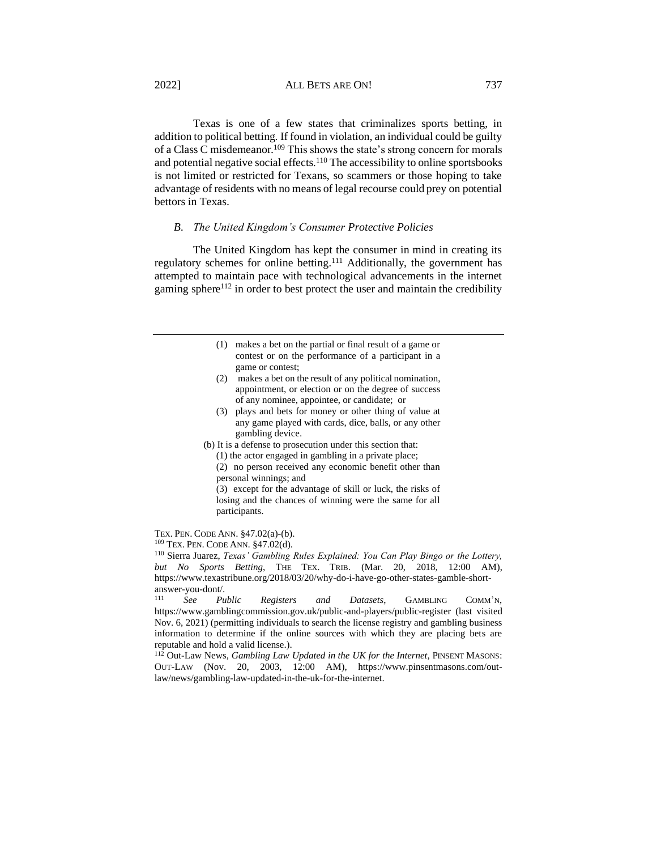Texas is one of a few states that criminalizes sports betting, in addition to political betting. If found in violation, an individual could be guilty of a Class C misdemeanor.<sup>109</sup> This shows the state's strong concern for morals and potential negative social effects.<sup>110</sup> The accessibility to online sportsbooks is not limited or restricted for Texans, so scammers or those hoping to take advantage of residents with no means of legal recourse could prey on potential bettors in Texas.

#### <span id="page-17-0"></span>*B. The United Kingdom's Consumer Protective Policies*

The United Kingdom has kept the consumer in mind in creating its regulatory schemes for online betting.<sup>111</sup> Additionally, the government has attempted to maintain pace with technological advancements in the internet gaming sphere<sup>112</sup> in order to best protect the user and maintain the credibility

- (1) makes a bet on the partial or final result of a game or contest or on the performance of a participant in a game or contest;
- (2) makes a bet on the result of any political nomination, appointment, or election or on the degree of success of any nominee, appointee, or candidate; or
- (3) plays and bets for money or other thing of value at any game played with cards, dice, balls, or any other gambling device.
- (b) It is a defense to prosecution under this section that:
	- (1) the actor engaged in gambling in a private place;
	- (2) no person received any economic benefit other than personal winnings; and

(3) except for the advantage of skill or luck, the risks of losing and the chances of winning were the same for all participants.

TEX. PEN. CODE ANN. §47.02(a)-(b). <sup>109</sup> TEX. PEN. CODE ANN. §47.02(d).

<sup>110</sup> Sierra Juarez, *Texas' Gambling Rules Explained: You Can Play Bingo or the Lottery, but No Sports Betting*, THE TEX. TRIB. (Mar. 20, 2018, 12:00 AM), https://www.texastribune.org/2018/03/20/why-do-i-have-go-other-states-gamble-shortanswer-you-dont/.<br> $\frac{111}{200}$ 

<sup>111</sup> *See Public Registers and Datasets*, GAMBLING COMM'N, https://www.gamblingcommission.gov.uk/public-and-players/public-register (last visited Nov. 6, 2021) (permitting individuals to search the license registry and gambling business information to determine if the online sources with which they are placing bets are reputable and hold a valid license.).

<sup>112</sup> Out-Law News, *Gambling Law Updated in the UK for the Internet*, PINSENT MASONS: OUT-LAW (Nov. 20, 2003, 12:00 AM), https://www.pinsentmasons.com/outlaw/news/gambling-law-updated-in-the-uk-for-the-internet.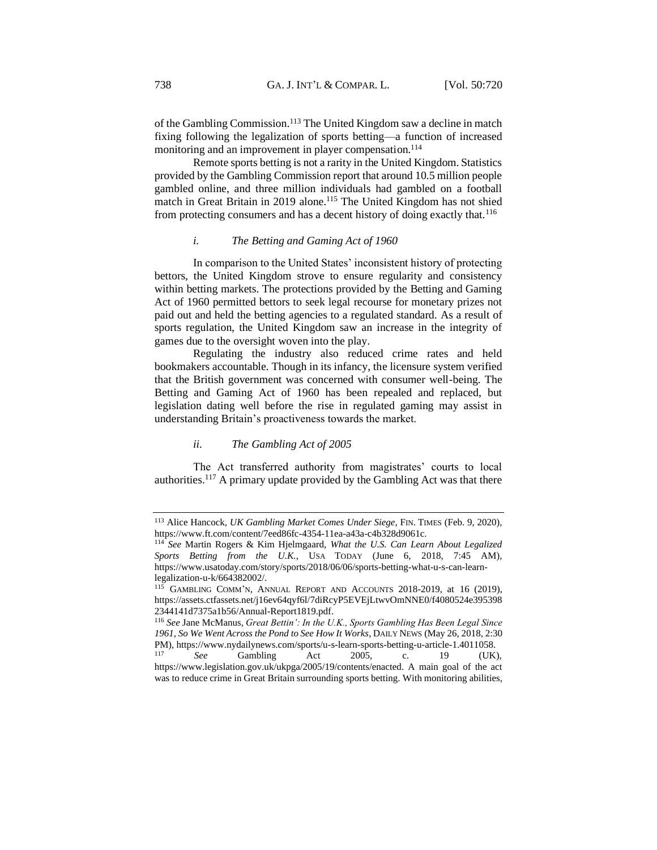of the Gambling Commission.<sup>113</sup> The United Kingdom saw a decline in match fixing following the legalization of sports betting––a function of increased monitoring and an improvement in player compensation.<sup>114</sup>

Remote sports betting is not a rarity in the United Kingdom. Statistics provided by the Gambling Commission report that around 10.5 million people gambled online, and three million individuals had gambled on a football match in Great Britain in 2019 alone.<sup>115</sup> The United Kingdom has not shied from protecting consumers and has a decent history of doing exactly that.<sup>116</sup>

## *i. The Betting and Gaming Act of 1960*

<span id="page-18-0"></span>In comparison to the United States' inconsistent history of protecting bettors, the United Kingdom strove to ensure regularity and consistency within betting markets. The protections provided by the Betting and Gaming Act of 1960 permitted bettors to seek legal recourse for monetary prizes not paid out and held the betting agencies to a regulated standard. As a result of sports regulation, the United Kingdom saw an increase in the integrity of games due to the oversight woven into the play.

Regulating the industry also reduced crime rates and held bookmakers accountable. Though in its infancy, the licensure system verified that the British government was concerned with consumer well-being. The Betting and Gaming Act of 1960 has been repealed and replaced, but legislation dating well before the rise in regulated gaming may assist in understanding Britain's proactiveness towards the market.

#### *ii. The Gambling Act of 2005*

<span id="page-18-1"></span>The Act transferred authority from magistrates' courts to local authorities.<sup>117</sup> A primary update provided by the Gambling Act was that there

<sup>113</sup> Alice Hancock, *UK Gambling Market Comes Under Siege*, FIN. TIMES (Feb. 9, 2020), https://www.ft.com/content/7eed86fc-4354-11ea-a43a-c4b328d9061c.

<sup>114</sup> *See* Martin Rogers & Kim Hjelmgaard, *What the U.S. Can Learn About Legalized Sports Betting from the U.K.*, USA TODAY (June 6, 2018, 7:45 AM), https://www.usatoday.com/story/sports/2018/06/06/sports-betting-what-u-s-can-learnlegalization-u-k/664382002/.

<sup>115</sup> GAMBLING COMM'N, ANNUAL REPORT AND ACCOUNTS 2018-2019, at 16 (2019), https://assets.ctfassets.net/j16ev64qyf6l/7diRcyP5EVEjLtwvOmNNE0/f4080524e395398 2344141d7375a1b56/Annual-Report1819.pdf.

<sup>116</sup> *See* Jane McManus, *Great Bettin': In the U.K., Sports Gambling Has Been Legal Since 1961, So We Went Across the Pond to See How It Works*, DAILY NEWS (May 26, 2018, 2:30 PM), https://www.nydailynews.com/sports/u-s-learn-sports-betting-u-article-1.4011058.

<sup>117</sup> *See* Gambling Act 2005, c. 19 (UK), https://www.legislation.gov.uk/ukpga/2005/19/contents/enacted. A main goal of the act was to reduce crime in Great Britain surrounding sports betting. With monitoring abilities,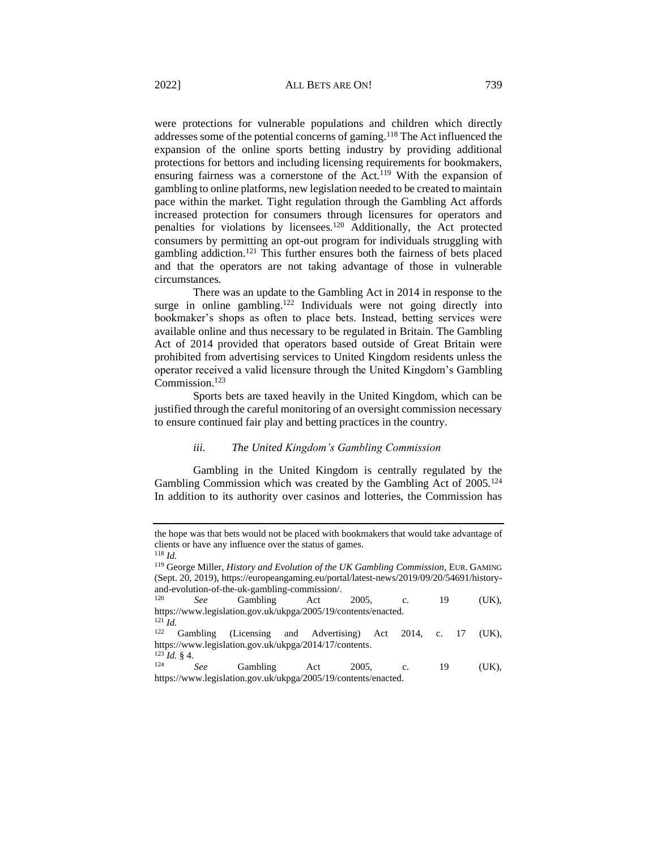were protections for vulnerable populations and children which directly addresses some of the potential concerns of gaming.<sup>118</sup> The Act influenced the expansion of the online sports betting industry by providing additional protections for bettors and including licensing requirements for bookmakers, ensuring fairness was a cornerstone of the Act.<sup>119</sup> With the expansion of gambling to online platforms, new legislation needed to be created to maintain pace within the market. Tight regulation through the Gambling Act affords increased protection for consumers through licensures for operators and penalties for violations by licensees.<sup>120</sup> Additionally, the Act protected consumers by permitting an opt-out program for individuals struggling with gambling addiction.<sup>121</sup> This further ensures both the fairness of bets placed and that the operators are not taking advantage of those in vulnerable circumstances.

There was an update to the Gambling Act in 2014 in response to the surge in online gambling.<sup>122</sup> Individuals were not going directly into bookmaker's shops as often to place bets. Instead, betting services were available online and thus necessary to be regulated in Britain. The Gambling Act of 2014 provided that operators based outside of Great Britain were prohibited from advertising services to United Kingdom residents unless the operator received a valid licensure through the United Kingdom's Gambling Commission.<sup>123</sup>

Sports bets are taxed heavily in the United Kingdom, which can be justified through the careful monitoring of an oversight commission necessary to ensure continued fair play and betting practices in the country.

#### *iii. The United Kingdom's Gambling Commission*

<span id="page-19-0"></span>Gambling in the United Kingdom is centrally regulated by the Gambling Commission which was created by the Gambling Act of 2005.<sup>124</sup> In addition to its authority over casinos and lotteries, the Commission has

 $\int_{124}^{123} I d. \S$  4.

the hope was that bets would not be placed with bookmakers that would take advantage of clients or have any influence over the status of games. <sup>118</sup> *Id.*

<sup>119</sup> George Miller, *History and Evolution of the UK Gambling Commission*, EUR. GAMING (Sept. 20, 2019), https://europeangaming.eu/portal/latest-news/2019/09/20/54691/historyand-evolution-of-the-uk-gambling-commission/.<br> $\frac{120}{2}$  Combling  $\frac{6}{5}$ 

<sup>120</sup> *See* Gambling Act 2005, c. 19 (UK), https://www.legislation.gov.uk/ukpga/2005/19/contents/enacted.

<sup>121</sup> *Id.* Gambling (Licensing and Advertising) Act 2014, c. 17 (UK), https://www.legislation.gov.uk/ukpga/2014/17/contents.

<sup>124</sup> *See* Gambling Act 2005, c. 19 (UK), https://www.legislation.gov.uk/ukpga/2005/19/contents/enacted.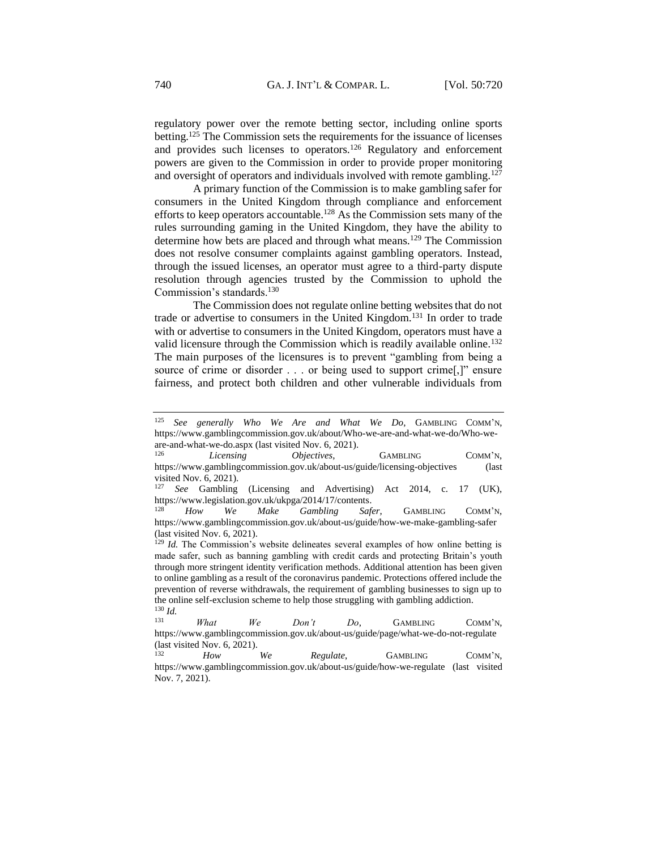regulatory power over the remote betting sector, including online sports betting.<sup>125</sup> The Commission sets the requirements for the issuance of licenses and provides such licenses to operators.<sup>126</sup> Regulatory and enforcement powers are given to the Commission in order to provide proper monitoring and oversight of operators and individuals involved with remote gambling.<sup>127</sup>

A primary function of the Commission is to make gambling safer for consumers in the United Kingdom through compliance and enforcement efforts to keep operators accountable.<sup>128</sup> As the Commission sets many of the rules surrounding gaming in the United Kingdom, they have the ability to determine how bets are placed and through what means.<sup>129</sup> The Commission does not resolve consumer complaints against gambling operators. Instead, through the issued licenses, an operator must agree to a third-party dispute resolution through agencies trusted by the Commission to uphold the Commission's standards.<sup>130</sup>

The Commission does not regulate online betting websites that do not trade or advertise to consumers in the United Kingdom.<sup>131</sup> In order to trade with or advertise to consumers in the United Kingdom, operators must have a valid licensure through the Commission which is readily available online.<sup>132</sup> The main purposes of the licensures is to prevent "gambling from being a source of crime or disorder . . . or being used to support crime[,]" ensure fairness, and protect both children and other vulnerable individuals from

<sup>125</sup> *See generally Who We Are and What We Do*, GAMBLING COMM'N, https://www.gamblingcommission.gov.uk/about/Who-we-are-and-what-we-do/Who-weare-and-what-we-do.aspx (last visited Nov. 6, 2021).

Licensing *Objectives*, GAMBLING COMM'N, https://www.gamblingcommission.gov.uk/about-us/guide/licensing-objectives (last visited Nov. 6, 2021).

See Gambling (Licensing and Advertising) Act 2014, c. 17 (UK), https://www.legislation.gov.uk/ukpga/2014/17/contents.

How We Make Gambling Safer, GAMBLING COMM'N, https://www.gamblingcommission.gov.uk/about-us/guide/how-we-make-gambling-safer (last visited Nov. 6, 2021).

<sup>&</sup>lt;sup>129</sup> *Id.* The Commission's website delineates several examples of how online betting is made safer, such as banning gambling with credit cards and protecting Britain's youth through more stringent identity verification methods. Additional attention has been given to online gambling as a result of the coronavirus pandemic. Protections offered include the prevention of reverse withdrawals, the requirement of gambling businesses to sign up to the online self-exclusion scheme to help those struggling with gambling addiction.  $\frac{130}{131}$  *Id.* 

<sup>131</sup> *What We Don't Do*, GAMBLING COMM'N, https://www.gamblingcommission.gov.uk/about-us/guide/page/what-we-do-not-regulate (last visited Nov. 6, 2021).<br> $\frac{H_{\text{QW}}}{H_{\text{QW}}}$ 

How We Regulate, GAMBLING COMM'N, https://www.gamblingcommission.gov.uk/about-us/guide/how-we-regulate (last visited Nov. 7, 2021).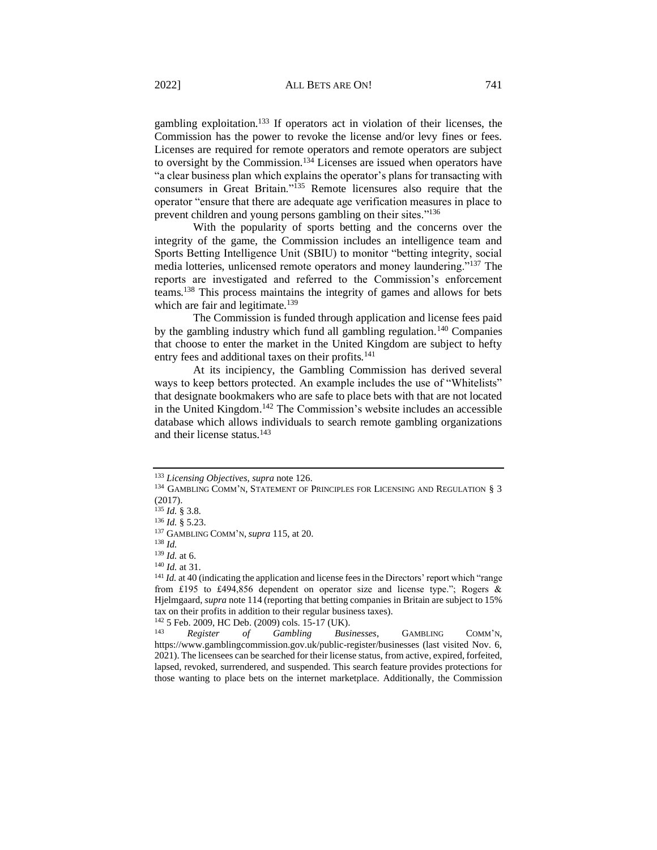gambling exploitation.<sup>133</sup> If operators act in violation of their licenses, the Commission has the power to revoke the license and/or levy fines or fees. Licenses are required for remote operators and remote operators are subject to oversight by the Commission.<sup>134</sup> Licenses are issued when operators have "a clear business plan which explains the operator's plans for transacting with consumers in Great Britain."<sup>135</sup> Remote licensures also require that the operator "ensure that there are adequate age verification measures in place to prevent children and young persons gambling on their sites."<sup>136</sup>

With the popularity of sports betting and the concerns over the integrity of the game, the Commission includes an intelligence team and Sports Betting Intelligence Unit (SBIU) to monitor "betting integrity, social media lotteries, unlicensed remote operators and money laundering."<sup>137</sup> The reports are investigated and referred to the Commission's enforcement teams.<sup>138</sup> This process maintains the integrity of games and allows for bets which are fair and legitimate.<sup>139</sup>

The Commission is funded through application and license fees paid by the gambling industry which fund all gambling regulation.<sup>140</sup> Companies that choose to enter the market in the United Kingdom are subject to hefty entry fees and additional taxes on their profits.<sup>141</sup>

At its incipiency, the Gambling Commission has derived several ways to keep bettors protected. An example includes the use of "Whitelists" that designate bookmakers who are safe to place bets with that are not located in the United Kingdom.<sup>142</sup> The Commission's website includes an accessible database which allows individuals to search remote gambling organizations and their license status.<sup>143</sup>

<sup>133</sup> *Licensing Objectives*, *supra* note 126.

<sup>&</sup>lt;sup>134</sup> GAMBLING COMM'N, STATEMENT OF PRINCIPLES FOR LICENSING AND REGULATION § 3 (2017).

<sup>135</sup> *Id.* § 3.8*.* 

<sup>136</sup> *Id.* § 5.23.

<sup>137</sup> GAMBLING COMM'N,*supra* 115, at 20.

<sup>138</sup> *Id.*

<sup>139</sup> *Id.* at 6.

<sup>140</sup> *Id.* at 31.

<sup>&</sup>lt;sup>141</sup> *Id.* at 40 (indicating the application and license fees in the Directors' report which "range from £195 to £494,856 dependent on operator size and license type."; Rogers & Hjelmgaard, *supra* note 114 (reporting that betting companies in Britain are subject to 15% tax on their profits in addition to their regular business taxes).

<sup>&</sup>lt;sup>142</sup> 5 Feb. 2009, HC Deb. (2009) cols. 15-17 (UK).<br><sup>143</sup> **Pegister** of *Cambling Bus* 

<sup>143</sup> *Register of Gambling Businesses*, GAMBLING COMM'N, https://www.gamblingcommission.gov.uk/public-register/businesses (last visited Nov. 6, 2021). The licensees can be searched for their license status, from active, expired, forfeited, lapsed, revoked, surrendered, and suspended. This search feature provides protections for those wanting to place bets on the internet marketplace. Additionally, the Commission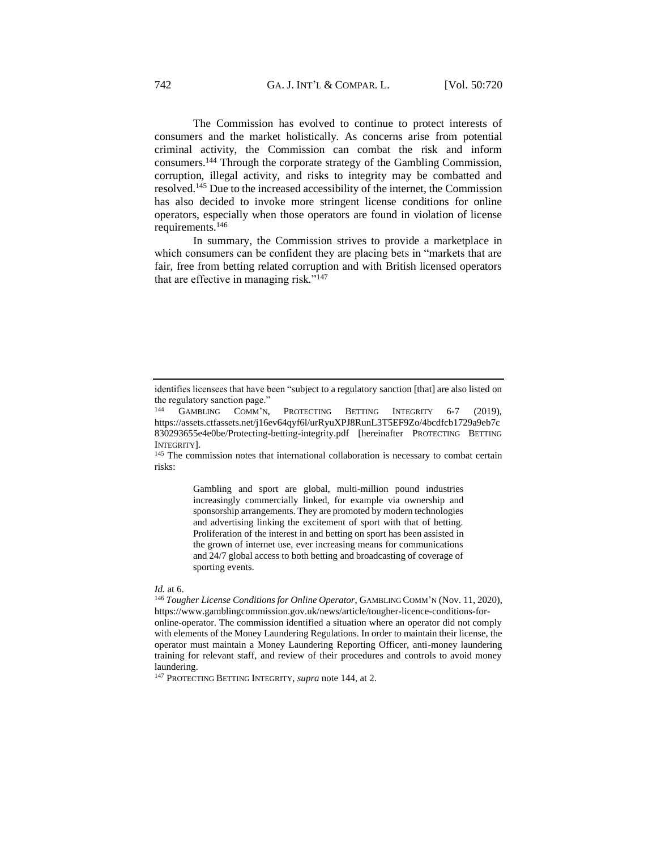The Commission has evolved to continue to protect interests of consumers and the market holistically. As concerns arise from potential criminal activity, the Commission can combat the risk and inform consumers.<sup>144</sup> Through the corporate strategy of the Gambling Commission, corruption, illegal activity, and risks to integrity may be combatted and resolved.<sup>145</sup> Due to the increased accessibility of the internet, the Commission has also decided to invoke more stringent license conditions for online operators, especially when those operators are found in violation of license requirements.<sup>146</sup>

In summary, the Commission strives to provide a marketplace in which consumers can be confident they are placing bets in "markets that are fair, free from betting related corruption and with British licensed operators that are effective in managing risk." $147$ 

<sup>145</sup> The commission notes that international collaboration is necessary to combat certain risks:

> Gambling and sport are global, multi-million pound industries increasingly commercially linked, for example via ownership and sponsorship arrangements. They are promoted by modern technologies and advertising linking the excitement of sport with that of betting. Proliferation of the interest in and betting on sport has been assisted in the grown of internet use, ever increasing means for communications and 24/7 global access to both betting and broadcasting of coverage of sporting events.

#### *Id.* at 6.

<sup>147</sup> PROTECTING BETTING INTEGRITY, *supra* note 144, at 2.

identifies licensees that have been "subject to a regulatory sanction [that] are also listed on the regulatory sanction page."

GAMBLING COMM'N, PROTECTING BETTING INTEGRITY 6-7 (2019), https://assets.ctfassets.net/j16ev64qyf6l/urRyuXPJ8RunL3T5EF9Zo/4bcdfcb1729a9eb7c 830293655e4e0be/Protecting-betting-integrity.pdf [hereinafter PROTECTING BETTING INTEGRITY].

<sup>146</sup> *Tougher License Conditions for Online Operator*, GAMBLING COMM'N (Nov. 11, 2020), https://www.gamblingcommission.gov.uk/news/article/tougher-licence-conditions-foronline-operator. The commission identified a situation where an operator did not comply with elements of the Money Laundering Regulations. In order to maintain their license, the operator must maintain a Money Laundering Reporting Officer, anti-money laundering training for relevant staff, and review of their procedures and controls to avoid money laundering.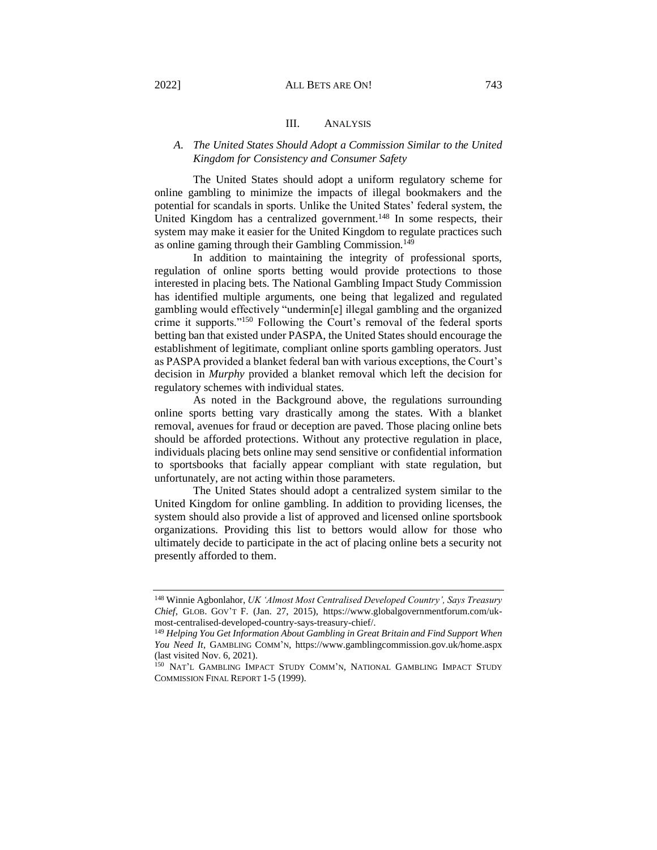#### 2022] ALL BETS ARE ON! 743

# III. ANALYSIS

## <span id="page-23-1"></span><span id="page-23-0"></span>*A. The United States Should Adopt a Commission Similar to the United Kingdom for Consistency and Consumer Safety*

The United States should adopt a uniform regulatory scheme for online gambling to minimize the impacts of illegal bookmakers and the potential for scandals in sports. Unlike the United States' federal system, the United Kingdom has a centralized government.<sup>148</sup> In some respects, their system may make it easier for the United Kingdom to regulate practices such as online gaming through their Gambling Commission.<sup>149</sup>

In addition to maintaining the integrity of professional sports, regulation of online sports betting would provide protections to those interested in placing bets. The National Gambling Impact Study Commission has identified multiple arguments, one being that legalized and regulated gambling would effectively "undermin[e] illegal gambling and the organized crime it supports."<sup>150</sup> Following the Court's removal of the federal sports betting ban that existed under PASPA, the United States should encourage the establishment of legitimate, compliant online sports gambling operators. Just as PASPA provided a blanket federal ban with various exceptions, the Court's decision in *Murphy* provided a blanket removal which left the decision for regulatory schemes with individual states.

As noted in the Background above, the regulations surrounding online sports betting vary drastically among the states. With a blanket removal, avenues for fraud or deception are paved. Those placing online bets should be afforded protections. Without any protective regulation in place, individuals placing bets online may send sensitive or confidential information to sportsbooks that facially appear compliant with state regulation, but unfortunately, are not acting within those parameters.

The United States should adopt a centralized system similar to the United Kingdom for online gambling. In addition to providing licenses, the system should also provide a list of approved and licensed online sportsbook organizations. Providing this list to bettors would allow for those who ultimately decide to participate in the act of placing online bets a security not presently afforded to them.

<sup>148</sup> Winnie Agbonlahor, *UK 'Almost Most Centralised Developed Country', Says Treasury Chief*, GLOB. GOV'T F. (Jan. 27, 2015), https://www.globalgovernmentforum.com/ukmost-centralised-developed-country-says-treasury-chief/.

<sup>149</sup> *Helping You Get Information About Gambling in Great Britain and Find Support When You Need It*, GAMBLING COMM'N, https://www.gamblingcommission.gov.uk/home.aspx (last visited Nov. 6, 2021).

<sup>150</sup> NAT'L GAMBLING IMPACT STUDY COMM'N, NATIONAL GAMBLING IMPACT STUDY COMMISSION FINAL REPORT 1-5 (1999).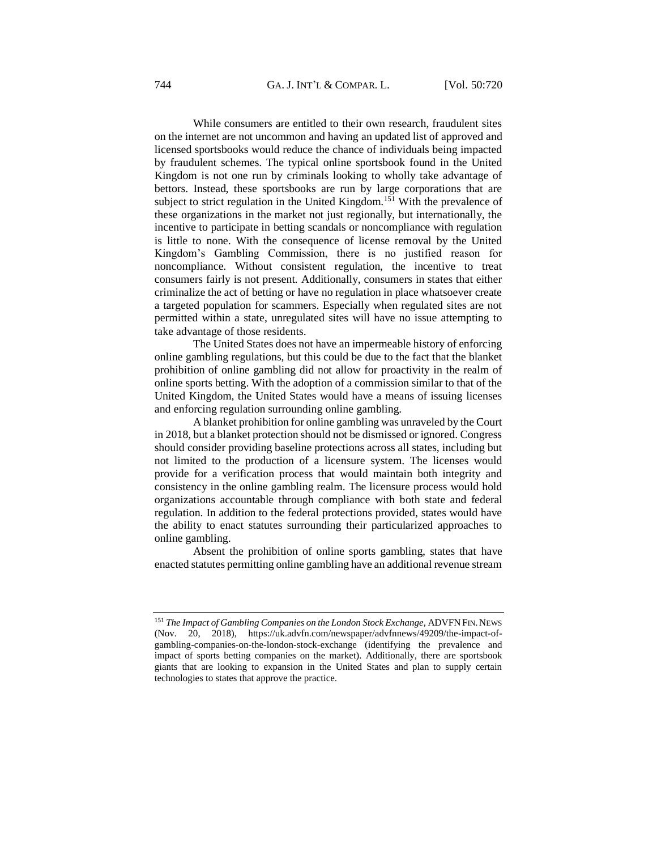While consumers are entitled to their own research, fraudulent sites on the internet are not uncommon and having an updated list of approved and licensed sportsbooks would reduce the chance of individuals being impacted by fraudulent schemes. The typical online sportsbook found in the United Kingdom is not one run by criminals looking to wholly take advantage of bettors. Instead, these sportsbooks are run by large corporations that are subject to strict regulation in the United Kingdom.<sup>151</sup> With the prevalence of these organizations in the market not just regionally, but internationally, the incentive to participate in betting scandals or noncompliance with regulation is little to none. With the consequence of license removal by the United Kingdom's Gambling Commission, there is no justified reason for noncompliance. Without consistent regulation, the incentive to treat consumers fairly is not present. Additionally, consumers in states that either criminalize the act of betting or have no regulation in place whatsoever create a targeted population for scammers. Especially when regulated sites are not permitted within a state, unregulated sites will have no issue attempting to take advantage of those residents.

The United States does not have an impermeable history of enforcing online gambling regulations, but this could be due to the fact that the blanket prohibition of online gambling did not allow for proactivity in the realm of online sports betting. With the adoption of a commission similar to that of the United Kingdom, the United States would have a means of issuing licenses and enforcing regulation surrounding online gambling.

A blanket prohibition for online gambling was unraveled by the Court in 2018, but a blanket protection should not be dismissed or ignored. Congress should consider providing baseline protections across all states, including but not limited to the production of a licensure system. The licenses would provide for a verification process that would maintain both integrity and consistency in the online gambling realm. The licensure process would hold organizations accountable through compliance with both state and federal regulation. In addition to the federal protections provided, states would have the ability to enact statutes surrounding their particularized approaches to online gambling.

Absent the prohibition of online sports gambling, states that have enacted statutes permitting online gambling have an additional revenue stream

<sup>151</sup> The Impact of Gambling Companies on the London Stock Exchange, ADVFN FIN. NEWS (Nov. 20, 2018), https://uk.advfn.com/newspaper/advfnnews/49209/the-impact-ofgambling-companies-on-the-london-stock-exchange (identifying the prevalence and impact of sports betting companies on the market). Additionally, there are sportsbook giants that are looking to expansion in the United States and plan to supply certain technologies to states that approve the practice.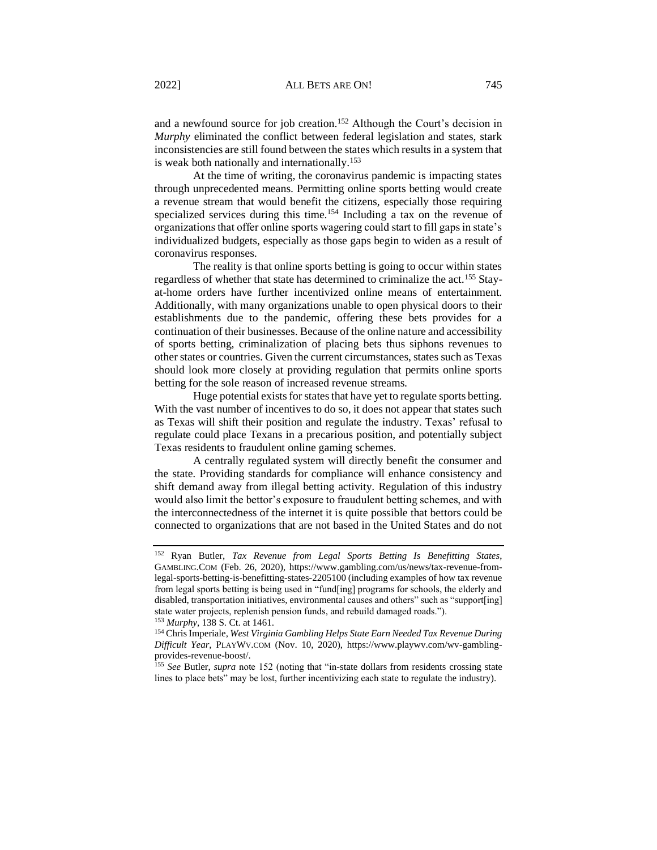and a newfound source for job creation.<sup>152</sup> Although the Court's decision in *Murphy* eliminated the conflict between federal legislation and states, stark inconsistencies are still found between the states which results in a system that is weak both nationally and internationally.<sup>153</sup>

At the time of writing, the coronavirus pandemic is impacting states through unprecedented means. Permitting online sports betting would create a revenue stream that would benefit the citizens, especially those requiring specialized services during this time.<sup>154</sup> Including a tax on the revenue of organizations that offer online sports wagering could start to fill gaps in state's individualized budgets, especially as those gaps begin to widen as a result of coronavirus responses.

The reality is that online sports betting is going to occur within states regardless of whether that state has determined to criminalize the act.<sup>155</sup> Stayat-home orders have further incentivized online means of entertainment. Additionally, with many organizations unable to open physical doors to their establishments due to the pandemic, offering these bets provides for a continuation of their businesses. Because of the online nature and accessibility of sports betting, criminalization of placing bets thus siphons revenues to other states or countries. Given the current circumstances, states such as Texas should look more closely at providing regulation that permits online sports betting for the sole reason of increased revenue streams.

Huge potential exists for states that have yet to regulate sports betting. With the vast number of incentives to do so, it does not appear that states such as Texas will shift their position and regulate the industry. Texas' refusal to regulate could place Texans in a precarious position, and potentially subject Texas residents to fraudulent online gaming schemes.

A centrally regulated system will directly benefit the consumer and the state. Providing standards for compliance will enhance consistency and shift demand away from illegal betting activity. Regulation of this industry would also limit the bettor's exposure to fraudulent betting schemes, and with the interconnectedness of the internet it is quite possible that bettors could be connected to organizations that are not based in the United States and do not

<sup>155</sup> *See* Butler, *supra* note 152 (noting that "in-state dollars from residents crossing state lines to place bets" may be lost, further incentivizing each state to regulate the industry).

<sup>152</sup> Ryan Butler, *Tax Revenue from Legal Sports Betting Is Benefitting States*, GAMBLING.COM (Feb. 26, 2020), https://www.gambling.com/us/news/tax-revenue-fromlegal-sports-betting-is-benefitting-states-2205100 (including examples of how tax revenue from legal sports betting is being used in "fund[ing] programs for schools, the elderly and disabled, transportation initiatives, environmental causes and others" such as "support[ing] state water projects, replenish pension funds, and rebuild damaged roads."). <sup>153</sup> *Murphy*, 138 S. Ct. at 1461.

<sup>154</sup> Chris Imperiale, *West Virginia Gambling Helps State Earn Needed Tax Revenue During Difficult Year*, PLAYWV.COM (Nov. 10, 2020), https://www.playwv.com/wv-gamblingprovides-revenue-boost/.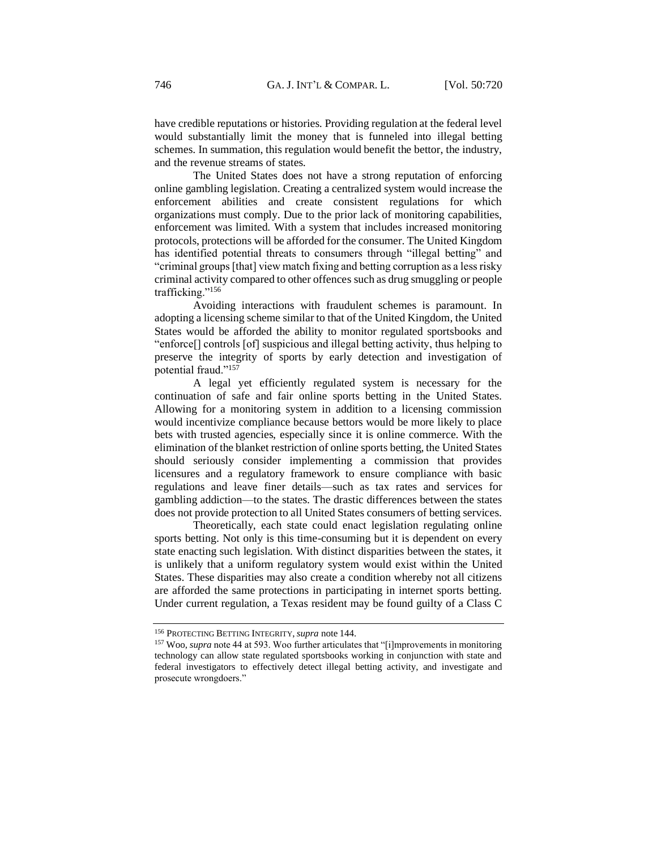have credible reputations or histories. Providing regulation at the federal level would substantially limit the money that is funneled into illegal betting schemes. In summation, this regulation would benefit the bettor, the industry, and the revenue streams of states.

The United States does not have a strong reputation of enforcing online gambling legislation. Creating a centralized system would increase the enforcement abilities and create consistent regulations for which organizations must comply. Due to the prior lack of monitoring capabilities, enforcement was limited. With a system that includes increased monitoring protocols, protections will be afforded for the consumer. The United Kingdom has identified potential threats to consumers through "illegal betting" and "criminal groups [that] view match fixing and betting corruption as a less risky criminal activity compared to other offences such as drug smuggling or people trafficking."<sup>156</sup>

Avoiding interactions with fraudulent schemes is paramount. In adopting a licensing scheme similar to that of the United Kingdom, the United States would be afforded the ability to monitor regulated sportsbooks and "enforce[] controls [of] suspicious and illegal betting activity, thus helping to preserve the integrity of sports by early detection and investigation of potential fraud."<sup>157</sup>

A legal yet efficiently regulated system is necessary for the continuation of safe and fair online sports betting in the United States. Allowing for a monitoring system in addition to a licensing commission would incentivize compliance because bettors would be more likely to place bets with trusted agencies, especially since it is online commerce. With the elimination of the blanket restriction of online sports betting, the United States should seriously consider implementing a commission that provides licensures and a regulatory framework to ensure compliance with basic regulations and leave finer details––such as tax rates and services for gambling addiction––to the states. The drastic differences between the states does not provide protection to all United States consumers of betting services.

Theoretically, each state could enact legislation regulating online sports betting. Not only is this time-consuming but it is dependent on every state enacting such legislation. With distinct disparities between the states, it is unlikely that a uniform regulatory system would exist within the United States. These disparities may also create a condition whereby not all citizens are afforded the same protections in participating in internet sports betting. Under current regulation, a Texas resident may be found guilty of a Class C

<sup>156</sup> PROTECTING BETTING INTEGRITY,*supra* note 144.

<sup>&</sup>lt;sup>157</sup> Woo, *supra* note 44 at 593. Woo further articulates that "[i]mprovements in monitoring technology can allow state regulated sportsbooks working in conjunction with state and federal investigators to effectively detect illegal betting activity, and investigate and prosecute wrongdoers."